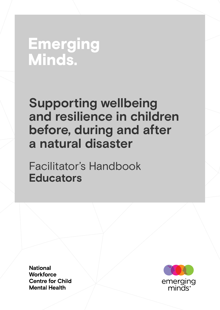# **Emerging** Minds.

# **Supporting wellbeing and resilience in children before, during and after a natural disaster**

Facilitator's Handbook **Educators**

**National Workforce Centre for Child Mental Health** 

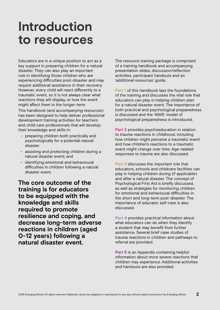# **Introduction to resources**

Educators are in a unique position to act as a key support in preparing children for a natural disaster. They can also play an important role in identifying those children who are experiencing difficulties post-disaster and may require additional assistance in their recovery. However, every child will react differently to a traumatic event, so it is not always clear what reactions they will display, or how the event might affect them in the longer-term.

This handbook (and accompanying resources) has been designed to help deliver professional development training activities for teachers and child care professionals that will develop their knowledge and skills in:

- preparing children both practically and psychologically for a potential natural disaster
- assisting and protecting children during a natural disaster event; and
- identifying emotional and behavioural difficulties in children following a natural disaster event.

**The core outcome of the training is for educators to be equipped with the knowledge and skills required to promote resilience and coping, and decrease long-term adverse reactions in children (aged 0-12 years) following a natural disaster event.**

The resource training package is comprised of a training handbook and accompanying presentation slides, discussion/reflection activities, participant handouts and an 'additional resources' guide.

**Part 1** of this handbook lays the foundations of the training and discusses the vital role that educators can play in helping children plan for a natural disaster event. The importance of both practical and psychological preparedness is discussed and the 'AIMS' model of psychological preparedness is introduced.

**Part 2** provides psychoeducation in relation to trauma reactions in childhood, including how children might perceive a traumatic event and how children's reactions to a traumatic event might change over time. Age-related responses to trauma are also discussed.

**Part 3** discusses the important role that educators, schools and childcare facilities can play in helping children during (if applicable) and after a natural disaster. The concept of Psychological First Aid is briefly discussed, as well as strategies for monitoring children for emotional and behavioural difficulties in the short and long-term post-disaster. The importance of educator self-care is also discussed.

**Part 4** provides practical information about what educators can do when they identify a student that may benefit from further assistance. Several brief case studies of trauma reactions in children and pathways to referral are provided.

**Part 5** is an Appendix containing helpful information about more severe reactions that children may experience. Additional activities and handouts are also provided.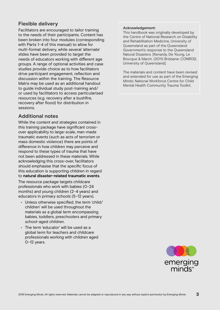## **Flexible delivery**

Facilitators are encouraged to tailor training to the needs of their participants. Content has been broken into four modules (corresponding with Parts 1–4 of this manual) to allow for multi-format delivery, while several 'alternate' slides have been provided to target the needs of educators working with different age groups. A range of optional activities and case studies provide choice as to how facilitators drive participant engagement, reflection and discussion within the training. The Resource Matrix may be used as an additional handout to guide individual study post-training and/ or used by facilitators to access particularised resources (e.g. recovery after a bushfire, recovery after flood) for distribution in sessions.

### **Additional notes**

While the content and strategies contained in this training package have significant crossover applicability to large-scale, man-made traumatic events (such as acts of terrorism or mass domestic violence) there are points of difference in how children may perceive and respond to these types of trauma that have not been addressed in these materials. While acknowledging this cross-over, facilitators should emphasise that the specific focus of this education is supporting children in regard to **natural disaster-related traumatic events**.

The resource package targets childcare professionals who work with babies (0–24 months) and young children (2–4 years) and educators in primary schools (5–12 years).

- Unless otherwise specified, the term 'child/ children' will be used throughout the materials as a global term encompassing babies, toddlers, preschoolers and primary school-aged children.
- The term 'educator' will be used as a global term for teachers and childcare professionals working with children aged 0–12 years.

### **Acknowledgement:**

This handbook was originally developed by the Centre of National Research on Disability and Rehabilitation Medicine, University of Queensland as part of the Queensland Government's response to the Queensland Natural Disasters. [Kenardy, De Young, Le Brocque & March. (2011) Brisbane: CONROD, University of Queensland].

The materials and content have been revised and extended for use as part of the Emerging Minds: National Workforce Centre for Child Mental Health Community Trauma Toolkit.

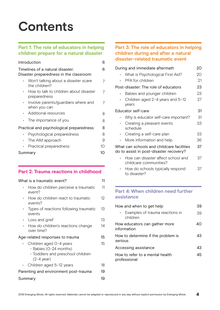# **Contents**

## **Part 1: The role of educators in helping children prepare for a natural disaster**

| Introduction                                                                | 6    |
|-----------------------------------------------------------------------------|------|
| Timelines of a natural disaster:<br>Disaster preparedness in the classroom: | 6    |
| Won't talking about a disaster scare<br>the children?                       | 7    |
| How to talk to children about disaster<br>preparedness                      | 7    |
| Involve parents/guardians where and<br>when you can                         | 7    |
| Additional resources                                                        | 8    |
| The importance of you                                                       | 8    |
| Practical and psychological preparedness                                    | 8    |
| Psychological preparedness                                                  | 8    |
| The AIM approach                                                            | 9    |
| Practical preparedness                                                      | 10   |
| Summary                                                                     | 1( ) |

## **Part 2: Trauma reactions in childhood**

|             | What is a traumatic event?                                                                                     | 11 |
|-------------|----------------------------------------------------------------------------------------------------------------|----|
|             | How do children perceive a traumatic<br>event?                                                                 | 11 |
|             | How do children react to traumatic<br>events?                                                                  | 12 |
| $\bullet$ . | Types of reactions following traumatic<br>events                                                               | 13 |
| $\bullet$ . | Loss and grief                                                                                                 | 13 |
|             | How do children's reactions change<br>over time?                                                               | 14 |
|             | Age-related responses to trauma                                                                                | 15 |
|             | Children aged O-4 years<br>- Babies (O-24 months)<br>- Toddlers and preschool children<br>$(2-4 \text{ year})$ | 15 |
|             | Children aged 5-12 years                                                                                       | 18 |
|             | Parenting and environment post-trauma                                                                          | 19 |
|             | Summary                                                                                                        | 19 |
|             |                                                                                                                |    |

### **Part 3: The role of educators in helping children during and after a natural disaster-related traumatic event**

| During and immediate aftermath                                                       | 20 |
|--------------------------------------------------------------------------------------|----|
| What is Psychological First Aid?                                                     | 20 |
| PFA for children                                                                     | 21 |
| Post-disaster: The role of educators                                                 | 23 |
| Babies and younger children                                                          | 23 |
| Children aged 2-4 years and 5-12<br>years                                            | 27 |
| Educator self-care                                                                   | 31 |
| Why is educator self-care important?                                                 | 31 |
| Creating a pleasant events<br>schedule                                               | 33 |
| Creating a self-care plan<br>$\bullet$                                               | 33 |
| More information and help                                                            | 36 |
| What can schools and childcare facilities<br>do to assist in post-disaster recovery? | 37 |
| How can disaster affect school and<br>childcare communities?                         | 37 |
| How do schools typically respond                                                     | 37 |

• How do schools typically respond to disaster?  $3/$ 

## **Part 4: When children need further assistance**

| How and when to get help                        | 39  |
|-------------------------------------------------|-----|
| • Examples of trauma reactions in<br>children   | 39  |
| How educators can gather more<br>information    | 40) |
| How to determine if the problem is<br>serious   | 43  |
| Accessing assistance                            | 43  |
| How to refer to a mental health<br>professional | 45  |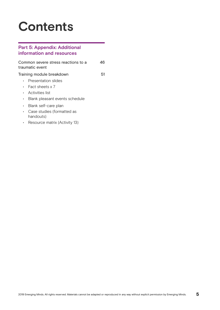# **Contents**

## **Part 5: Appendix: Additional information and resources**

|             | Common severe stress reactions to a<br>traumatic event | 46 |
|-------------|--------------------------------------------------------|----|
|             | Training module breakdown                              | 51 |
|             | Presentation slides                                    |    |
|             | • Fact sheets $\times$ 7                               |    |
| $\bullet$ . | Activities list                                        |    |
| $\bullet$   | Blank pleasant events schedule                         |    |
| $\bullet$   | Blank self-care plan                                   |    |
| $\bullet$   | Case studies (formatted as<br>handouts)                |    |
|             | Resource matrix (Activity 13)                          |    |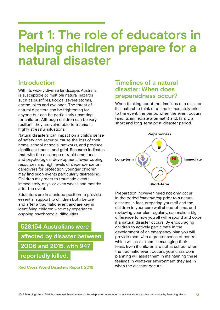# **Part 1: The role of educators in helping children prepare for a natural disaster**

# **Introduction**

With its widely diverse landscape, Australia is susceptible to multiple natural hazards such as bushfires, floods, severe storms, earthquakes and cyclones. The threat of natural disasters can be frightening for anyone but can be particularly upsetting for children. Although children can be very resilient, they are vulnerable to trauma in highly stressful situations.

Natural disasters can impact on a child's sense of safety and security, cause the loss of their home, school or social networks, and produce significant trauma and grief. Research indicates that, with the challenge of rapid emotional and psychological development, fewer coping resources and high levels of dependence on caregivers for protection, younger children may find such events particularly distressing. Children may react to traumatic events immediately, days, or even weeks and months after the event.

Educators are in a unique position to provide essential support to children both before and after a traumatic event and are key in identifying children who may experience ongoing psychosocial difficulties.

**528,154 Australians were affected by disaster between 2006 and 2015, with 947 reportedly killed.**

**Red Cross World Disasters Report, 2016**

## **Timelines of a natural disaster: When does preparedness occur?**

When thinking about the timelines of a disaster it is natural to think of a time immediately prior to the event; the period when the event occurs (and its immediate aftermath) and, finally, a short and long-term post-disaster period.



Preparation, however, need not only occur in the period *immediately* prior to a natural disaster. In fact, preparing yourself and the children in your care well ahead of time, and reviewing your plan regularly, can make a big difference to how you all will respond and cope if a natural disaster occurs. By encouraging children to actively participate in the development of an emergency plan you will provide them with a greater sense of control, which will assist them in managing their fears. Even if children are not at school when the traumatic event occurs, your classroom planning will assist them in maintaining these feelings in whatever environment they are in when the disaster occurs.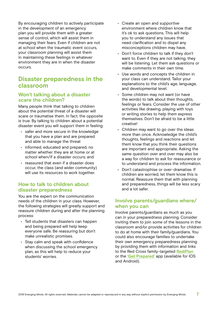By encouraging children to actively participate in the development of an emergency plan you will provide them with a greater sense of control, which will assist them in managing their fears. Even if children are not at school when the traumatic event occurs, your classroom planning will assist them in maintaining these feelings in whatever environment they are in when the disaster occurs.

## **Disaster preparedness in the classroom**

## **Won't talking about a disaster scare the children?**

Many people think that talking to children about the potential threat of a disaster will scare or traumatise them. In fact, the opposite is true. By talking to children about a potential disaster event you will support them in feeling:

- safer and more secure in the knowledge that you have a plan and are prepared and able to manage the threat
- informed, educated and prepared, no matter whether they are at home or at school when/if a disaster occurs; and
- reassured that even if a disaster does occur, the class (and wider community) will use its resources to work together.

### **How to talk to children about disaster preparedness**

You are the expert on the communication needs of the children in your class. However, the following strategies will greatly support and reassure children during and after the planning process:

- Tell students that disasters can happen and being prepared will help keep everyone safe. Be reassuring but don't make unrealistic promises.
- Stay calm and speak with confidence when discussing the school emergency plan, as this will help to reduce your students' worries.
- Create an open and supportive environment where children know that it's ok to ask questions. This will help you to understand any issues that need clarification and to dispel any misconceptions children may have.
- Don't force children to talk if they don't want to. Even if they are not talking, they will be listening. Let them ask questions or make comments in their own time.
- Use words and concepts the children in your class can understand. Tailor your explanations to the child's age, language, and developmental level.
- Some children may not want (or have the words) to talk about their thoughts, feelings or fears. Consider the use of other activities like drawing, playing with toys or writing stories to help them express themselves. Don't be afraid to be a little creative!
- $\cdot$  Children may want to go over the ideas more than once. Acknowledge the child's thoughts, feelings and reactions and let them know that you think their questions are important and appropriate. Asking the same question over and over may also be a way for children to ask for reassurance or to understand and process the information.
- Don't catastrophise or over-dramatise. If children are worried, let them know this is normal. Reassure them that with planning and preparedness, things will be less scary and a lot safer.

## **Involve parents/guardians where/ when you can**

Involve parents/guardians as much as you can in your preparedness planning. Consider inviting them to join some of the lessons in the classroom and/or provide activities for children to do at home with their family/guardians. You could also encourage families to undertake their own emergency preparedness planning by providing them with information and links to the Red Cross family-targeted **[RediPlan](https://www.redcross.org.au/getmedia/b896b60f-5b6c-49b2-a114-57be2073a1c2/red-cross-rediplan-disaster-preparedness-guide.pdf.aspx)** or the **['Get Prepared'](https://www.redcross.org.au/get-help/emergencies/preparing-for-emergencies/get-prepared-app)** app (available for IOS and Android).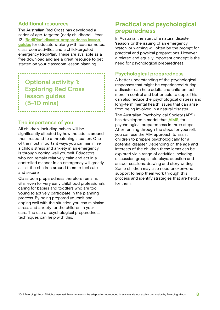## **Additional resources**

The Australian Red Cross has developed a series of age-targeted (early childhood – Year 12) **['RediPlan' disaster preparedness lesson](https://www.redcross.org.au/get-help/emergencies/resources-about-disasters/resources-for-parents-and-teachers)  [guides](https://www.redcross.org.au/get-help/emergencies/resources-about-disasters/resources-for-parents-and-teachers)** for educators, along with teacher notes, classroom activities and a child-targeted emergency RediPlan. These are available as a free download and are a great resource to get started on your classroom lesson planning.

**Optional activity 1: Exploring Red Cross lesson guides (5-10 mins)**

### **The importance of you**

All children, including babies, will be significantly affected by how the adults around them respond to a threatening situation. One of the most important ways you can minimise a child's stress and anxiety in an emergency is through coping well yourself. Educators who can remain relatively calm and act in a controlled manner in an emergency will greatly assist the children around them to feel safe and secure.

Classroom preparedness therefore remains vital, even for very early childhood professionals caring for babies and toddlers who are too young to actively participate in the planning process. By being prepared yourself and coping well with the situation you can minimise stress and anxiety for the children in your care. The use of psychological preparedness techniques can help with this.

# **Practical and psychological preparedness**

In Australia, the start of a natural disaster 'season' or the issuing of an emergency 'watch' or warning will often be the prompt for practical and physical preparations. However, a related and equally important concept is the need for psychological preparedness.

## **Psychological preparedness**

A better understanding of the psychological responses that might be experienced during a disaster can help adults and children feel more in control and better able to cope. This can also reduce the psychological distress and long-term mental health issues that can arise from being involved in a natural disaster.

The Australian Psychological Society (APS) has developed a model that '**[AIMS](https://www.psychology.org.au/getmedia/c24bf1ba-a5fc-45d5-a982-835873148b9a/Psychological-preparation-for-natural-disasters.pdf)**' for psychological preparedness in three steps. After running through the steps for yourself, you can use the AIM approach to assist children to prepare psychologically for a potential disaster. Depending on the age and interests of the children these ideas can be explored via a range of activities including discussion groups, role plays, question and answer sessions, drawing and story writing. Some children may also need one-on-one support to help them work through this process and identify strategies that are helpful for them.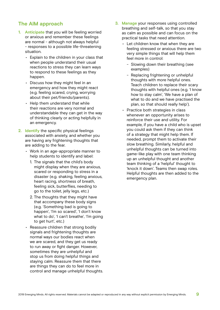## **The AIM approach**

- **1. Anticipate** that you will be feeling worried or anxious and remember these feelings are normal - although not always helpful - responses to a possible life-threatening situation.
	- Explain to the children in your class that when people understand their usual reactions to stress they can learn ways to respond to these feelings as they happen.
	- Discuss how they might feel in an emergency and how they might react (e.g. feeling scared, crying, worrying about their pet/friends/parents).
	- Help them understand that while their reactions are very normal and understandable they can get in the way of thinking clearly or acting helpfully in an emergency.
- **2. Identify** the specific physical feelings associated with anxiety, and whether you are having any frightening thoughts that are adding to the fear.
	- Work in an age-appropriate manner to help students to identify and label:
		- 1. The signals that the child's body might display when they are anxious, scared or responding to stress in a disaster (e.g. shaking, feeling anxious, heart racing, shortness of breath, feeling sick, butterflies, needing to go to the toilet, jelly legs, etc.)
		- 2. The thoughts that they might have that accompany these body signs (e.g. 'Something bad is going to happen', 'I'm so scared', 'I don't know what to do', 'I can't breathe', 'I'm going to get hurt', etc.)
	- Reassure children that strong bodily signals and frightening thoughts are normal ways our bodies react when we are scared, and they get us ready to run away or fight danger. However, sometimes they are unhelpful and stop us from doing helpful things and staying calm. Reassure them that there are things they can do to feel more in control and manage unhelpful thoughts.
- **3. Manage** your responses using controlled breathing and self-talk, so that you stay as calm as possible and can focus on the practical tasks that need attention.
	- Let children know that when they are feeling stressed or anxious there are two very simple things that will help them feel more in control:
		- Slowing down their breathing (see examples)
		- Replacing frightening or unhelpful thoughts with more helpful ones. Teach children to replace their scary thoughts with helpful ones (e.g. 'I know how to stay calm', 'We have a plan of what to do and we have practised the plan, so that should really help').
	- Practice both strategies in class whenever an opportunity arises to reinforce their use and utility. For example, if you have a child who is upset you could ask them if they can think of a strategy that might help them. If needed, prompt them to activate their slow breathing. Similarly, helpful and unhelpful thoughts can be turned into game-like play with one team thinking up an unhelpful thought and another team thinking of a 'helpful' thought to 'knock it down'. Teams then swap roles. Helpful thoughts are then added to the emergency plan.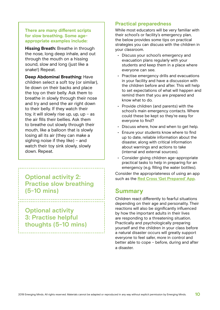### **There are many different scripts for slow breathing. Some ageappropriate examples include:**

**Hissing Breath:** Breathe in through the nose, long deep inhale, and out through the mouth on a hissing sound, slow and long (just like a snake!) Repeat.

**Deep Abdominal Breathing:** Have children select a soft toy (or similar), lie down on their backs and place the toy on their belly. Ask them to breathe in slowly through their nose and try and send the air right down to their belly. If they watch their toy, it will slowly rise up, up, up  $-$  as the air fills their bellies. Ask them to breathe out slowly through their mouth, like a balloon that is slowly losing all its air (they can make a sighing noise if they like) – and watch their toy sink slowly, slowly down. Repeat.

**Optional activity 2: Practise slow breathing (5-10 mins)**

**Optional activity 3: Practise helpful thoughts (5-10 mins)**

## **Practical preparedness**

While most educators will be very familiar with their school's or facility's emergency plan, the below provides some tips on practical strategies you can discuss with the children in your classroom.

- Discuss your school's emergency and evacuation plans regularly with your students and keep them in a place where everyone can see.
- Practise emergency drills and evacuations in your facility and have a discussion with the children before and after. This will help to set expectations of what will happen and remind them that you are prepared and know what to do.
- Provide children (and parents) with the school's main emergency contacts. Where could these be kept so they're easy for everyone to find?
- Discuss where, how and when to get help.
- Ensure your students know where to find up to date, reliable information about the disaster, along with critical information about warnings and actions to take (internal and external sources).
- Consider giving children age-appropriate practical tasks to help in preparing for an emergency (e.g. filling the water bottles).

Consider the appropriateness of using an app such as the **[Red Cross 'Get Prepared' App](https://www.redcross.org.au/get-help/emergencies/preparing-for-emergencies/get-prepared-app)**.

# **Summary**

Children react differently to fearful situations depending on their age and personality. Their reactions will also be significantly influenced by how the important adults in their lives are responding to a threatening situation. Practically and psychologically preparing yourself and the children in your class before a natural disaster occurs will greatly support everyone to feel safer, more in control and better able to cope – before, during and after a disaster.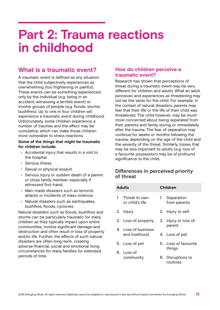# **Part 2: Trauma reactions in childhood**

# **What is a traumatic event?**

A traumatic event is defined as any situation that the child subjectively experiences as overwhelming (too frightening or painful). These events can be something experienced only by the individual (e.g. being in an accident, witnessing a terrible event) or involve groups of people (e.g. floods, storms, bushfires). Up to one in four children will experience a traumatic event during childhood. Unfortunately, some children experience a number of traumas and the effect may be cumulative, which can make those children more vulnerable to stress reactions.

### **Some of the things that might be traumatic for children include:**

- Accidental injury that results in a visit to the hospital.
- Serious illness.
- Sexual or physical assault.
- Serious injury or sudden death of a parent or close family member, especially if witnessed first-hand.
- Man-made disasters such as terrorist attacks or incidents of mass violence.
- Natural disasters such as earthquakes, bushfires, floods, cyclones.

Natural disasters such as floods, bushfires and storms can be particularly traumatic for many children as they typically impact upon entire communities, involve significant damage and destruction and often result in loss of property and/or life. Further, the effects of such natural disasters are often long-term, creating adverse financial, social and emotional living circumstances for many families for extended periods of time.

### **How do children perceive a traumatic event?**

Research has shown that perceptions of threat during a traumatic event may be very different for children and adults. What an adult perceives and experiences as threatening may not be the same for the child. For example, in the context of natural disasters, parents may feel that their life or the life of their child was threatened. The child however, may be much more concerned about being separated from their parents and family during or immediately after the trauma. The fear of separation may continue for weeks or months following the trauma, depending on the age of the child and the severity of the threat. Similarly, losses that may be less important to adults (e.g. loss of a favourite possession) may be of profound significance to the child.

## **Differences in perceived priority of threat**

| <b>Adults</b> |                                       | Children |                                |
|---------------|---------------------------------------|----------|--------------------------------|
| 1.            | Threat to own<br>or child's life      | 1.       | Separation<br>from parents     |
|               | 2. Injury                             |          | 2. Injury to self              |
|               | 3. Loss of property                   |          | 3. Injury or loss of<br>parent |
|               | 4. Loss of business<br>and livelihood |          | 4. Loss of pet                 |
|               | 5. Loss of pet                        |          | 5. Loss of favourite<br>things |
|               | 6. Loss of<br>community               | 6.       | Disruptions to                 |
|               |                                       |          | routines                       |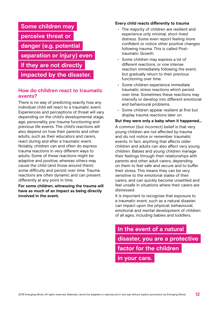

### **How do children react to traumatic events?**

There is no way of predicting exactly how any individual child will react to a traumatic event. Experiences and perceptions of threat will vary depending on the child's developmental stage, age, personality, pre-trauma functioning and previous life events. The child's reactions will also depend on how their parents and other adults, such as their educators and carers, react during and after a traumatic event. Notably, children can and often do express trauma reactions in very different ways to adults. Some of these reactions might be adaptive and positive, whereas others may cause the child (and those around them) some difficulty and persist over time. Trauma reactions are often dynamic and can present differently at any point in time.

**For some children, witnessing the trauma will have as much of an impact as being directly involved in the event.**

### **Every child reacts differently to trauma**

- The majority of children are resilient and experience only minimal, short-lived distress. Some even report feeling more confident or notice other positive changes following trauma. This is called Posttraumatic Growth.
- Some children may express a lot of different reactions, or one intense reaction immediately following the event, but gradually return to their previous functioning over time.
- Some children experience immediate traumatic stress reactions which persist over time. Sometimes these reactions may intensify or develop into different emotional and behavioural problems.
- Some children appear resilient at first but display trauma reactions later on.

### **But they were only a baby when it happened…**

A common (but incorrect) belief is that very young children are not affected by trauma and do not notice or remember traumatic events. In fact, anything that affects older children and adults can also affect very young children. Babies and young children manage their feelings through their relationships with parents and other adult carers, depending on them to feel safe and secure and to buffer their stress. This means they can be very sensitive to the emotional states of their carers, and can quickly become unsettled and feel unsafe in situations where their carers are distressed.

It is important to recognise that exposure to a traumatic event, such as a natural disaster, can impact upon the physical, behavioural, emotional and mental development of children of all ages, including babies and toddlers.

**In the event of a natural disaster, you are a protective factor for the children in your care.**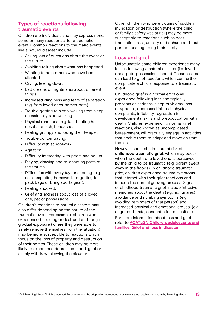## **Types of reactions following traumatic events**

Children are individuals and may express none, some or many reactions after a traumatic event. Common reactions to traumatic events like a natural disaster include:

- Asking lots of questions about the event or the future.
- Avoiding talking about what has happened.
- Wanting to help others who have been affected.
- Crying, feeling down.
- Bad dreams or nightmares about different things.
- Increased clinginess and fears of separation (e.g. from loved ones, homes, pets).
- Trouble getting to sleep, waking from sleep, occasionally sleepwalking.
- Physical reactions (e.g. fast beating heart, upset stomach, headaches).
- Feeling grumpy and losing their temper.
- Trouble concentrating.
- Difficulty with schoolwork.
- Agitation.
- Difficulty interacting with peers and adults.
- Playing, drawing and re-enacting parts of the trauma.
- Difficulties with everyday functioning (e.g. not completing homework, forgetting to pack bags or bring sports gear).
- Feeling shocked.
- Grief and sadness about loss of a loved one, pet or possessions.

Children's reactions to natural disasters may also differ depending on the nature of the traumatic event. For example, children who experienced flooding or destruction through gradual exposure (where they were able to safely remove themselves from the situation) may be more susceptible to reactions which focus on the loss of property and destruction of their homes. These children may be more likely to experience depressed mood, grief or simply withdraw following the disaster.

Other children who were victims of sudden inundation or destruction (where the child or family's safety was at risk) may be more susceptible to reactions such as posttraumatic stress, anxiety and enhanced threat perceptions regarding their safety.

## **Loss and grief**

Unfortunately, some children experience many losses following a natural disaster (i.e. loved ones, pets, possessions, home). These losses can lead to grief reactions, which can further complicate a child's response to a traumatic event.

Childhood grief is a normal emotional experience following loss and typically presents as sadness, sleep problems, loss of appetite, decreased interest, physical complaints, irritability, regression in developmental skills and preoccupation with death. Children experiencing normal grief reactions, also known as uncomplicated bereavement, will gradually engage in activities that enable them to adapt and move on from the loss.

However, some children are at risk of **childhood traumatic grief**, which may occur when the death of a loved one is perceived by the child to be traumatic (e.g. parent swept away in the floods). In childhood traumatic grief, children experience trauma symptoms that interact with their grief reactions and impede the normal grieving process. Signs of childhood traumatic grief include intrusive memories about the death (e.g. nightmares), avoidance and numbing symptoms (e.g. avoiding reminders of that person) and increased physical and emotional arousal (e.g. anger outbursts, concentration difficulties). For more information about loss and grief refer to **[ACATLGN Children, adolescents and](http://earlytraumagrief.anu.edu.au/files/Disasters%20grief%20children%20and%20families_0.pdf) [families: Grief and loss in disaster](http://earlytraumagrief.anu.edu.au/files/Disasters%20grief%20children%20and%20families_0.pdf)**.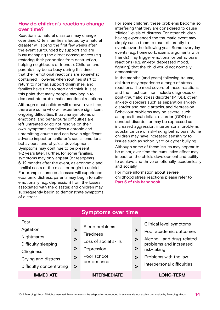## **How do children's reactions change over time?**

Reactions to natural disasters may change over time. Often, families affected by a natural disaster will spend the first few weeks after the event surrounded by support and are busy managing the direct consequences (e.g. restoring their properties from destruction, helping neighbours or friends). Children and parents may be so busy during this time that their emotional reactions are somewhat contained. However, when routines start to return to normal, support diminishes, and families have time to stop and think. It is at this point that many people may begin to demonstrate problematic emotional reactions. Although most children will recover over time, there are some who will experience significant ongoing difficulties. If trauma symptoms or emotional and behavioural difficulties are left untreated or do not resolve on their own, symptoms can follow a chronic and unremitting course and can have a significant adverse impact on children's social, emotional, behavioural and physical development. Symptoms may continue to be present 1-2 years later. Further, for some families, symptoms may only appear (or reappear) 6-12 months after the event, as economic and familial costs of the disaster begin to unfold. For example, some businesses will experience economic distress; parents may begin to suffer emotionally (e.g. depression) from the losses associated with the disaster, and children may subsequently begin to demonstrate symptoms of distress.

For some children, these problems become so interfering that they are considered to cause 'clinical' levels of distress. For other children, having experienced the traumatic event may simply cause them to react differently to events over the following year. Some everyday events (e.g. homework, exams, arguments with friends) may trigger emotional or behavioural reactions (e.g. anxiety, depressed mood, fighting) that the child would not normally demonstrate.

In the months (and years) following trauma, children may experience a range of stress reactions. The most severe of these reactions and the most common include diagnoses of post-traumatic stress disorder (PTSD), other anxiety disorders such as separation anxiety disorder and panic attacks, and depression. Behaviour problems may be severe, such as oppositional defiant disorder (ODD) or conduct disorder, or may be expressed as increased aggression, interpersonal problems, substance use or risk-taking behaviours. Some children may have increased sensitivity to issues such as school yard or cyber bullying. Although some of these issues may appear to be minor, over time the cumulative effect may impact on the child's development and ability to achieve and thrive emotionally, academically and socially.

For more information about severe childhood stress reactions please refer to **Part 5 of this handbook.**

|                                                                                                                                |                                           | <b>Symptoms over time</b>                                                                               |                                           |                                                                                                                                                                                |
|--------------------------------------------------------------------------------------------------------------------------------|-------------------------------------------|---------------------------------------------------------------------------------------------------------|-------------------------------------------|--------------------------------------------------------------------------------------------------------------------------------------------------------------------------------|
| Fear<br>Agitation<br><b>Nightmares</b><br>Difficulty sleeping<br>Clinginess<br>Crying and distress<br>Difficulty concentrating | ><br>⋗<br>⋗<br>$\blacktriangleright$<br>> | Sleep problems<br><b>Tiredness</b><br>Loss of social skills<br>Depression<br>Poor school<br>performance | ⋗<br>><br>⋗<br>⋗<br>$\blacktriangleright$ | Clinical level symptoms<br>Poor academic outcomes<br>Alcohol- and drug-related<br>problems and increased<br>risk-taking<br>Problems with the law<br>Interpersonal difficulties |
| <b>IMMEDIATE</b>                                                                                                               |                                           | <b>INTERMEDIATE</b>                                                                                     |                                           | <b>LONG-TERM</b>                                                                                                                                                               |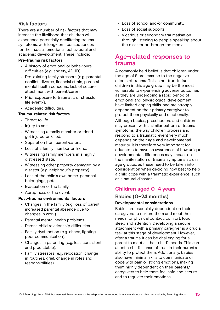## **Risk factors**

There are a number of risk factors that may increase the likelihood that children will experience potentially debilitating trauma symptoms, with long-term consequences for their social, emotional, behavioural and academic development. These include:

### **Pre-trauma risk factors**

- A history of emotional or behavioural difficulties (e.g. anxiety, ADHD).
- Pre-existing family stressors (e.g. parental conflict, divorce, financial strain, parental mental health concerns, lack of secure attachment with parent/carer).
- Prior exposure to traumatic or stressful life event/s.
- Academic difficulties.

### **Trauma-related risk factors**

- Threat to life.
- Injury to self.
- Witnessing a family member or friend get injured or killed.
- Separation from parent/carers.
- Loss of a family member or friend.
- Witnessing family members in a highly distressed state.
- Witnessing other property damaged by a disaster (e.g. neighbour's property).
- Loss of the child's own home, personal belongings, pets.
- Evacuation of the family.
- Abruptness of the event.

### **Post-trauma environmental factors**

- Changes in the family (e.g. loss of parent, increased parental absence due to changes in work).
- Parental mental health problems.
- Parent-child relationship difficulties.
- Family dysfunction (e.g. chaos, fighting, poor communication).
- Changes in parenting (e.g. less consistent and predictable).
- Family stressors (e.g. relocation, change in routines, grief, change in roles and responsibilities).
- Loss of school and/or community.
- Loss of social supports.
- Vicarious or secondary traumatisation through listening to people speaking about the disaster or through the media.

## **Age-related responses to trauma**

A commonly held belief is that children under the age of 5 are immune to the negative effects of trauma. This is not true. In fact, children in this age group may be the most vulnerable to experiencing adverse outcomes as they are undergoing a rapid period of emotional and physiological development, have limited coping skills, and are strongly dependent on their primary caregiver to protect them physically and emotionally. Although babies, preschoolers and children may present with a similar pattern of trauma symptoms, the way children process and respond to a traumatic event very much depends on their age and developmental maturity. It is therefore very important for educators to have an awareness of how unique developmental differences may impact on the manifestation of trauma symptoms across age groups, as these need to be taken into consideration when deciding how best to help a child cope with a traumatic experience, such as a natural disaster.

## **Children aged 0–4 years**

## **Babies (0–24 months) Developmental considerations**

Babies are especially dependent on their caregivers to nurture them and meet their needs for physical contact, comfort, food, sleep and attention. Developing a secure attachment with a primary caregiver is a crucial task at this stage of development. However, after a trauma it can be challenging for a parent to meet all their child's needs. This can affect a child's sense of trust in their parent's ability to protect them. Additionally, babies also have minimal skills to communicate or cope with pain or strong emotions, making them highly dependent on their parents/ caregivers to help them feel safe and secure and to regulate their emotions.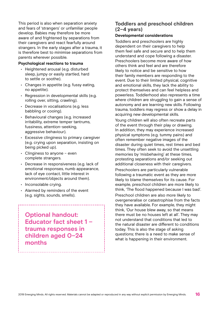This period is also when separation anxiety and fears of 'strangers' or unfamiliar people develop. Babies may therefore be more aware of and frightened by separations from their caregivers and react fearfully around strangers. In the early stages after a trauma, it is therefore best to minimise separations from parents wherever possible.

#### **Psychological reactions to trauma**

- Heightened arousal (e.g. disturbed sleep, jumpy or easily startled, hard to settle or soothe).
- Changes in appetite (e.g. fussy eating, no appetite).
- Regression in developmental skills (e.g. rolling over, sitting, crawling).
- Decrease in vocalisations (e.g. less babbling or cooing).
- Behavioural changes (e.g. increased irritability, extreme temper tantrums, fussiness, attention-seeking, aggressive behaviour).
- Excessive clinginess to primary caregiver (e.g. crying upon separation, insisting on being picked up).
- Clinginess to anyone even complete strangers.
- Decrease in responsiveness (e.g. lack of emotional responses, numb appearance, lack of eye contact, little interest in environment/objects around them).
- Inconsolable crying.
- Alarmed by reminders of the event (e.g. sights, sounds, smells).

**Optional handout: Educator fact sheet 1 – trauma responses in children aged 0–24 months**

## **Toddlers and preschool children (2–4 years)**

### **Developmental considerations**

Toddlers and preschoolers are highly dependent on their caregivers to help them feel safe and secure and to help them understand and cope following a disaster. Preschoolers become more aware of how others think and feel and are therefore likely to notice and be sensitive to how their family members are responding to the event. Due to their limited physical, cognitive and emotional skills, they lack the ability to protect themselves and can feel helpless and powerless. Toddlerhood also represents a time where children are struggling to gain a sense of autonomy and are learning new skills. Following trauma, toddlers may regress or show a delay in acquiring new developmental skills.

Young children will also often recreate parts of the event through their play or drawing. In addition, they may experience increased physical symptoms (e.g. tummy pains) and often remember negative images of the disaster during quiet times, rest times and bed times. They often seek to avoid the unsettling memories by 'misbehaving' at these times, protesting separations and/or seeking out additional closeness with their caregivers.

Preschoolers are particularly vulnerable following a traumatic event as they are more likely to blame themselves for its cause. For example, preschool children are more likely to think, 'The flood happened because I was bad'.

Preschool children are also more likely to overgeneralise or catastrophise from the facts they have available. For example, they might think, 'Our house blew away, so that means there must be no houses left at all'. They may not understand that conditions that led to the natural disaster are different to conditions today. This is also the stage of asking questions; there is a need to make sense of what is happening in their environment.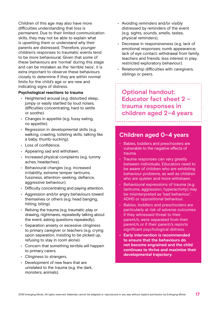Children of this age may also have more difficulties understanding that loss is permanent. Due to their limited communication skills, they may not be able to explain what is upsetting them or understand why their parents are distressed. Therefore, younger children's responses to traumatic events tend to be more behavioural. Given that some of these behaviours are 'normal' during this stage and can be mistaken as the 'terrible twos', it is extra important to observe these behaviours closely to determine if they are within normal limits for the child's age or are new and indicating signs of distress.

### **Psychological reactions to trauma**

- Heightened arousal (e.g. disturbed sleep, jumpy or easily startled by loud noises, difficulties concentrating, hard to settle or soothe).
- Changes in appetite (e.g. fussy eating, no appetite).
- Regression in developmental skills (e.g. walking, crawling, toileting skills, talking like a baby, thumb-sucking).
- Loss of confidence.
- Appearing sad and withdrawn.
- Increased physical complaints (e.g. tummy aches, headaches).
- Behavioural changes (e.g. increased irritability, extreme temper tantrums, fussiness, attention-seeking, defiance, aggressive behaviour).
- Difficulty concentrating and paying attention.
- Aggression and/or angry behaviours toward themselves or others (e.g. head banging, hitting, biting).
- Reliving the trauma (e.g. traumatic play or drawing, nightmares, repeatedly talking about the event, asking questions repeatedly).
- Separation anxiety or excessive clinginess to primary caregiver or teachers (e.g. crying upon separation, insisting to be picked up, refusing to stay in room alone).
- Concern that something terrible will happen to primary carers.
- Clinginess to strangers.
- Development of new fears that are unrelated to the trauma (e.g. the dark, monsters, animals).
- Avoiding reminders and/or visibly distressed by reminders of the event (e.g. sights, sounds, smells, tastes, physical reminders).
- Decrease in responsiveness (e.g. lack of emotional responses; numb appearance; lack of eye contact; withdrawal from family, teachers and friends; less interest in play; restricted exploratory behaviour).
- Relationship difficulties with caregivers, siblings or peers.

**Optional handout: Educator fact sheet 2 – trauma responses in children aged 2–4 years**

## **Children aged 0–4 years**

- Babies, toddlers and preschoolers are vulnerable to the negative effects of trauma.
- Trauma responses can vary greatly between individuals. Educators need to be aware of children who are exhibiting behaviour problems, as well as children who are quieter and more withdrawn.
- Behavioural expressions of trauma (e.g. tantrums, aggression, hyperactivity) may be misinterpreted as 'bad behaviour', ADHD or oppositional behaviour.
- Babies, toddlers and preschoolers are particularly at risk of adverse outcomes if they witnessed threat to their parent/s, were separated from their parent/s or if their parent/s reports significant psychological distress.
- **• Early intervention is recommended to ensure that the behaviours do not become engrained and the child continues to thrive and maximise their developmental trajectory.**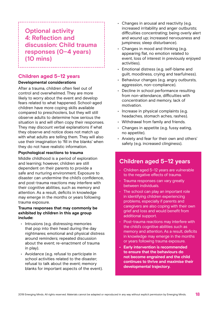# **Optional activity 4: Reflection and discussion: Child trauma responses (0–4 years) (10 mins)**

## **Children aged 5–12 years**

### **Developmental considerations**

After a trauma, children often feel out of control and overwhelmed. They are more likely to worry about the event and develop fears related to what happened. School-aged children have more coping skills available compared to preschoolers, but they will still observe adults to determine how serious the situation is and will often copy their responses. They may discount verbal explanations if what they observe and notice does not match up with what adults are telling them. They will also use their imagination to 'fill in the blanks' when they do not have realistic information.

### **Psychological reactions to trauma**

Middle childhood is a period of exploration and learning; however, children are still dependent on their parents to provide a safe and nurturing environment. Exposure to disaster can undermine the child's confidence, and post-trauma reactions may interfere with their cognitive abilities, such as memory and attention. As a result, deficits in knowledge may emerge in the months or years following trauma exposure.

### **Trauma responses that may commonly be exhibited by children in this age group include:**

- Intrusions (e.g. distressing memories that pop into their head during the day nightmares; emotional and physical distress around reminders; repeated discussion about the event; re-enactment of trauma in play).
- Avoidance (e.g. refusal to participate in school activities related to the disaster; refusal to talk about the event; memory blanks for important aspects of the event).
- Changes in arousal and reactivity (e.g. increased irritability and anger outbursts; difficulties concentrating; being overly alert and wound up; increased nervousness and jumpiness; sleep disturbance).
- Changes in mood and thinking (e.g. appearing flat, no emotion related to event, loss of interest in previously enjoyed activities).
- Emotional distress (e.g. self-blame and guilt, moodiness, crying and tearfulness).
- Behaviour changes (e.g. angry outbursts, aggression, non-compliance).
- Decline in school performance resulting from non-attendance, difficulties with concentration and memory, lack of motivation.
- Increase in physical complaints (e.g. headaches, stomach aches, rashes).
- Withdrawal from family and friends.
- Changes in appetite (e.g. fussy eating, no appetite).
- Anxiety and fear for their own and others' safety (e.g. increased clinginess).

## **Children aged 5–12 years**

- Children aged 5–12 years are vulnerable to the negative effects of trauma.
- Trauma responses can vary greatly between individuals.
- The school can play an important role in identifying children experiencing problems, especially if parents and caregivers are also coping with their own grief and loss and would benefit from additional support.
- Post-trauma reactions may interfere with the child's cognitive abilities such as memory and attention. As a result, deficits in knowledge may emerge in the months or years following trauma exposure.
- **• Early intervention is recommended to ensure that the behaviours do not become engrained and the child continues to thrive and maximise their developmental trajectory.**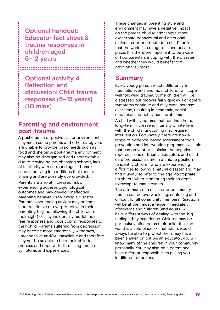# **Optional handout: Educator fact sheet 3 – trauma responses in children aged 5–12 years**

**Optional activity 4: Reflection and discussion: Child trauma responses (5–12 years) (10 mins)**

# **Parenting and environment post-trauma**

A post-trauma or post-disaster environment may mean some parents and other caregivers are unable to provide basic needs such as food and shelter. A post-trauma environment may also be disorganised and unpredictable due to moving house, changing schools, lack of familiarity with surroundings at home/ school, or living in conditions that require sharing and are possibly overcrowded.

Parents are also at increased risk of experiencing adverse psychological outcomes and may develop ineffective parenting behaviours following a disaster. Parents experiencing anxiety may become more restrictive or overprotective in their parenting (e.g. not allowing the child out of their sight) or may incidentally model their fear responses and poor coping responses to their child. Parents suffering from depression may become more emotionally withdrawn, unresponsive and/or unavailable and therefore may not be as able to help their child to process and cope with distressing trauma symptoms and experiences.

These changes in parenting style and environment may have a negative impact on the parent-child relationship; further exacerbate behavioural and emotional difficulties; or contribute to a child's belief that the world is a dangerous and unsafe place. It is therefore important to be aware of how parents are coping with the disaster and whether they would benefit from additional support.

# **Summary**

Every young person reacts differently to traumatic events and most children will cope well following trauma. Some children will be distressed but recover fairly quickly. For others, symptoms continue and may even increase over time, resulting in academic, social, emotional and behavioural problems.

A child with symptoms that continue in the long-term, increase in intensity or interfere with the child's functioning may require intervention. Fortunately, there are now a range of evidence-based assessment tools, prevention and intervention programs available that can prevent or minimise the negative repercussions of trauma. Educators and child care professionals are in a unique position to identify children who are experiencing difficulties following a natural disaster, and may find it useful to refer to the age-appropriate tip sheets when monitoring their students following traumatic events.

The aftermath of a disaster or community trauma can be overwhelming, confusing and difficult for all community members. Reactions will be at their most intense immediately afterwards and children (and adults) will have different ways of dealing with the 'big' feelings they experience. Children may be particularly affected as their belief that the world is a safe place, or that adults would always be able to protect them, may have been shaken or lost. As an educator, you will know many of the children in your community personally. You may also be a parent and have different responsibilities pulling you in different directions.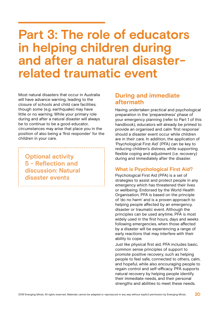# **Part 3: The role of educators in helping children during and after a natural disasterrelated traumatic event**

Most natural disasters that occur in Australia will have advance warning, leading to the closure of schools and child care facilities; though some (e.g. earthquake) may have little or no warning. While your primary role during and after a natural disaster will always be to continue to be a good educator, circumstances may arise that place you in the position of also being a 'first responder' for the children in your care.

**Optional activity 5 - Reflection and discussion: Natural disaster events** 

# **During and immediate aftermath**

Having undertaken practical and psychological preparation in the 'preparedness' phase of your emergency planning (refer to Part 1 of this handbook), educators will already be primed to provide an organised and calm 'first response' should a disaster event occur while children are in their care. In addition, the application of 'Psychological First Aid' (PFA) can be key to reducing children's distress, while supporting flexible coping and adjustment (i.e. recovery) during and immediately after the disaster.

## **What is Psychological First Aid?**

Psychological First Aid (PFA) is a set of strategies to assist and protect people in any emergency which has threatened their lives or wellbeing. Endorsed by the World Health Organisation, PFA is based on the principle of 'do no harm' and is a proven approach to helping people affected by an emergency, disaster or traumatic event. Although the principles can be used anytime, PFA is most widely used in the first hours, days and weeks following emergencies, when those affected by a disaster will be experiencing a range of early reactions that may interfere with their ability to cope.

Just like physical first aid, PFA includes basic, common sense principles of support to promote positive recovery, such as helping people to feel safe, connected to others, calm, and hopeful, while also encouraging people to regain control and self-efficacy. PFA supports natural recovery by helping people identify their immediate needs, and their personal strengths and abilities to meet these needs.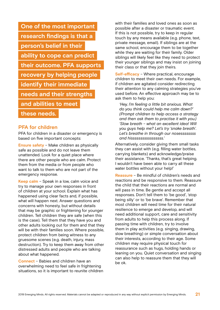| One of the most important       |
|---------------------------------|
| research findings is that a     |
| person's belief in their        |
| ability to cope can predict     |
| their outcome. PFA supports     |
| recovery by helping people      |
| <b>identify their immediate</b> |
| needs and their strengths       |
| and abilities to meet           |
| these needs.                    |

## **PFA for children**

PFA for children in a disaster or emergency is based on five important concepts:

**Ensure safety** – Make children as physically safe as possible and do not leave them unattended. Look for a quiet place where there are other people who are calm. Protect them from the media or from people who want to talk to them who are not part of the emergency response.

**Keep calm** – Speak in a low, calm voice and try to manage your own responses in front of children at your school. Explain what has happened using clear facts and, if possible, what will happen next. Answer questions and concerns with honesty, but without details that may be graphic or frightening for younger children. Tell children they are safe (when this is the case). Tell them that they have you and other adults looking out for them and that they will be with their families soon. Where possible, protect children from being witness to any gruesome scenes (e.g. death, injury, mass destruction). Try to keep them away from other distressed adults and people who are talking about what happened.

**Connect** – Babies and children have an overwhelming need to feel safe in frightening situations, so it is important to reunite children with their families and loved ones as soon as possible after a disaster or traumatic event. If this is not possible, try to keep in regular touch by any means available (e.g. phone, text, private message, email). If siblings are at the same school, encourage them to be together while they are waiting for their family. Older siblings will likely feel like they need to protect their younger siblings and may insist on joining their class or that they join theirs.

**Self-efficacy** – Where practical, encourage children to meet their own needs. For example, if children are agitated consider redirecting their attention to any calming strategies you've used before. An effective approach may be to ask them to help you:

*'Hey, I'm feeling a little bit anxious. What do you think could help me calm down?' (Prompt children to help access a strategy and then ask them to practise it with you.) 'Slow breath – what an excellent idea! Will you guys help me? Let's try 'snake breath'. Let's breathe in through our nosessssssss and hisssssssssssssssss.'*

Alternatively, consider giving them small tasks they can assist with (e.g. filling water bottles, carrying blankets) and acknowledge/praise their assistance. 'Thanks, that's great helping. I wouldn't have been able to carry all these water bottles without your help!'

**Reassure** – Be mindful of children's needs and reactions and be responsive to them. Reassure the child that their reactions are normal and will pass in time. Be gentle and accept all responses. Don't tell them to 'be good', 'stop being silly' or to 'be brave'. Remember that most children will need time for their natural resilience to emerge and develop, and will need additional support, care and sensitivity from adults to help this process along. If passing time with children, try to involve them in play activities (e.g. singing, drawing, slow breathing) or simple conversation about their interests, according to their age. Some children may require physical touch for reassurance such as hugs, holding hands or leaning on you. Quiet conversation and singing can also help to reassure them that they will be ok.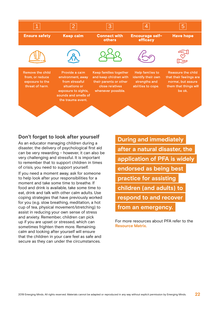

### **Don't forget to look after yourself**

As an educator managing children during a disaster, the delivery of psychological first aid can be very rewarding – however, it can also be very challenging and stressful. It is important to remember that to support children in times of crisis, you need to support yourself.

If you need a moment away, ask for someone to help look after your responsibilities for a moment and take some time to breathe. If food and drink is available, take some time to eat, drink and talk with other calm adults. Use coping strategies that have previously worked for you (e.g. slow breathing, meditation, a hot cup of tea, physical movement/stretching) to assist in reducing your own sense of stress and anxiety. Remember, children can pick up if you are upset or stressed, which can sometimes frighten them more. Remaining calm and looking after yourself will ensure that the children in your care feel as safe and secure as they can under the circumstances.

**During and immediately after a natural disaster, the application of PFA is widely endorsed as being best practice for assisting children (and adults) to respond to and recover from an emergency.**

For more resources about PFA refer to the **Resource Matrix.**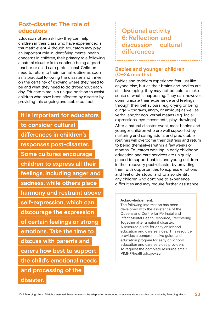# **Post-disaster: The role of educators**

Educators often ask how they can help children in their class who have experienced a traumatic event. Although educators may play an important role in identifying mental health concerns in children, their primary role following a natural disaster is to continue being a good teacher or child care professional. Children need to return to their normal routine as soon as is practical following the disaster and thrive on the certainty of knowing where they need to be and what they need to do throughout each day. Educators are in a unique position to assist children who have been affected by disaster by providing this ongoing and stable contact.

# **It is important for educators to consider cultural differences in children's responses post-disaster. Some cultures encourage children to express all their feelings, including anger and sadness, while others place harmony and restraint above self-expression, which can discourage the expression of certain feelings or strong emotions. Take the time to discuss with parents and carers how best to support the child's emotional needs and processing of the disaster.**

**Optional activity 6: Reflection and discussion – cultural differences**

## **Babies and younger children (0–24 months)**

Babies and toddlers experience fear just like anyone else, but as their brains and bodies are still developing, they may not be able to make sense of what is happening. They can, however, communicate their experience and feelings through their behaviours (e.g. crying or being clingy, withdrawn, angry, or anxious) as well as verbal and/or non-verbal means (e.g. facial expressions, eye movements, play, drawings).

After a natural disaster event, most babies and younger children who are well supported by nurturing and caring adults and predictable routines will overcome their distress and return to being themselves within a few weeks or months. Educators working in early childhood education and care services are uniquely placed to support babies and young children in their recovery post-disaster by providing them with opportunities to express emotions and feel understood, and to also identify any children who continue to experience difficulties and may require further assistance.

### **Acknowledgement:**

The following information has been developed with the assistance of the Queensland Centre for Perinatal and Infant Mental Health Resource, 'Recovering Together after a natural disaster: A resource guide for early childhood education and care services.' This resource provides a comprehensive guide and education program for early childhood education and care services providers. To request the complete resource email: PIMH@health.qld.gov.au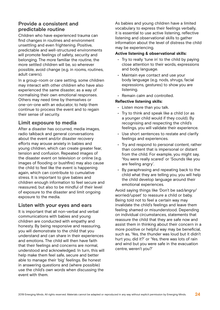## **Provide a consistent and predictable routine**

Children who have experienced trauma can find changes in routines and environment unsettling and even frightening. Positive, predictable and well-structured environments will promote feelings of safety, security and belonging. The more familiar the routine, the more settled children will be, so wherever possible, avoid change (e.g. in rooms, routines, adult carers).

In a group-room or care setting, some children may interact with other children who have also experienced the same disaster, as a way of normalising their own emotional responses. Others may need time by themselves or one-on-one with an educator, to help them continue to process the event and to regain their sense of security.

## **Limit exposure to media**

After a disaster has occurred, media images, radio talkback and general conversations about the event and/or disaster recovery efforts may arouse anxiety in babies and young children, which can create greater fear, tension and confusion. Repeated images of the disaster event on television or online (e.g. images of flooding or bushfire) may also cause the child to feel like the event is happening again, which can contribute to cumulative stress. It is important to give babies and children enough information to feel secure and reassured, but also to be mindful of their level of exposure to the disaster and limit ongoing exposure to the media.

## **Listen with your eyes and ears**

It is important that all non-verbal and verbal communications with babies and young children are conducted with empathy and honesty. By being responsive and reassuring, you will demonstrate to the child that you understand and can share in their experiences and emotions. The child will then have faith that their feelings and concerns are normal, understood and acknowledged. In turn, this will help make them feel safe, secure and better able to manage their 'big' feelings. Be honest in answering questions and (where possible) use the child's own words when discussing the event with them.

As babies and young children have a limited vocabulary to express their feelings verbally, it is essential to use active listening, reflective listening and observational skills to gather information about the level of distress the child may be experiencing.

### **Active listening & observational skills:**

- Try to really 'tune in' to the child by paying close attention to their words, expressions and body language.
- Maintain eye contact and use your body language (e.g. nods, shrugs, facial expressions, gestures) to show you are listening.
- Remain calm and controlled.

### **Reflective listening skills:**

- Listen more than you talk.
- Try to think and speak like a child (or as a younger child would if they could). By recognising and respecting the child's feelings, you will validate their experience.
- Use short sentences to restate and clarify feelings and experiences.
- Try and respond to personal content, rather than content that is impersonal or distant from the child. For example, you might say, 'You were really scared' or 'Sounds like you are feeling angry'.
- By paraphrasing and repeating back to the child what they are telling you, you will help the child develop language around their emotional experiences.

Avoid saying things like 'Don't be sad/angry/ worried/upset' to reassure a child or baby. Being told not to feel a certain way may invalidate the child's feelings and leave them feeling shamed or misunderstood. Depending on individual circumstances, statements that reassure the child that they are safe now and assist them in thinking about their concern in a more positive or helpful way may be beneficial, such as, 'Yes, the thunder was loud but it didn't hurt you, did it?' or 'Yes, there was lots of rain and wind but you were safe in the evacuation centre, weren't you?'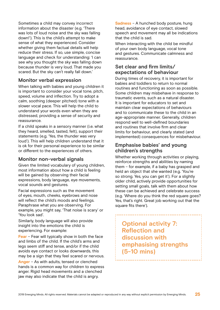Sometimes a child may convey incorrect information about the disaster (e.g. 'There was lots of loud noise and the sky was falling down!'). This is the child's attempt to make sense of what they experienced. Consider whether giving them factual details will help reduce their stress. If so, use simple, concise language and check for understanding: 'I can see why you thought the sky was falling down because thunder is very loud. That made you scared. But the sky can't really fall down.'

## **Monitor verbal expression**

When talking with babies and young children it is important to consider your vocal tone, pitch, speed, volume and inflection. Try to adopt a calm, soothing (deeper pitched) tone with a slower vocal pace. This will help the child to understand your words even when they are distressed, providing a sense of security and reassurance.

If a child speaks in a sensory manner (i.e. what they heard, smelled, tasted, felt), support their statements (e.g. 'Yes, the thunder was very loud'). This will help children understand that it is ok for their personal experience to be similar or different to the experiences of others.

## **Monitor non-verbal signals**

Given the limited vocabulary of young children, most information about how a child is feeling will be gained by observing their facial expressions, body language, eye movements, vocal sounds and gestures.

Facial expressions such as the movement of eyes, mouth, cheeks, eyebrows and nose will reflect the child's moods and feelings. Paraphrase what you are observing. For example, you might say, 'That noise is scary' or 'You look sad'.

Similarly, body language will also provide insight into the emotions the child is experiencing. For example:

**Fear** – Fear will typically show in both the face and limbs of the child. If the child's arms and legs seem stiff and tense, and/or if the child avoids eye contact or looks downwards, this may be a sign that they feel scared or nervous.

**Anger** – As with adults, tensed or clenched hands is a common way for children to express anger. Rigid head movements and a clenched jaw may also indicate that the child is angry.

**Sadness** – A hunched body posture, hung head, avoidance of eye contact, slowed speech and movement may all be indications that the child is sad.

When interacting with the child be mindful of your own body language, vocal tone and gestures. Communicate calmness and reassurance.

## **Set clear and firm limits/ expectations of behaviour**

During times of recovery, it is important for babies and toddlers to return to normal routines and functioning as soon as possible. Some children may misbehave in response to traumatic events, such as a natural disaster. It is important for educators to set and maintain clear expectations of behaviours and to communicate these to the child in an age-appropriate manner. Generally, children respond well to well-defined boundaries and routines that involve firm and clear limits for behaviour, and clearly stated (and implemented) consequences for misbehaviour.

## **Emphasise babies' and young children's strengths**

Whether working through activities or playing, reinforce strengths and abilities by naming them – for example, if a baby has grasped and held an object that she wanted (e.g. 'You're so strong. Yes, you can get it'). For a slightly older child, actively provide opportunities for setting small goals, talk with them about how these can be achieved and celebrate success (e.g. 'Where do you think the red square goes? Yes, that's right. Great job working out that the square fits there').

# **Optional activity 7: Reflection and discussion with emphasising strengths (5-10 mins)**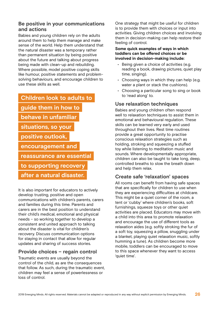## **Be positive in your communications and actions**

Babies and young children rely on the adults around them to help them manage and make sense of the world. Help them understand that the natural disaster was a temporary rather than permanent situation by being positive about the future and talking about progress being made with clean-up and rebuilding. Where possible, model positive coping skills like humour, positive statements and problemsolving behaviours, and encourage children to use these skills as well.

## **Children look to adults to**

**guide them in how to**

- **behave in unfamiliar**
- **situations, so your**
- **positive outlook,**
- 

**encouragement and**

**reassurance are essential**

**to supporting recovery** 

**after a natural disaster.**

It is also important for educators to actively develop trusting, positive and open communications with children's parents, carers and families during this time. Parents and carers are in the best position to understand their child's medical, emotional and physical needs – so working together to develop a consistent and united approach to talking about the disaster is vital for children's recovery. Discuss communication options for staying in contact that allow for regular updates and sharing of success stories.

## **Provide choices – regain control**

Traumatic events are usually beyond the control of the child, as are the consequences that follow. As such, during the traumatic event, children may feel a sense of powerlessness or loss of control.

One strategy that might be useful for children is to provide them with choices or input into activities. Giving children choices and involving them in decision-making can help restore their feeling of control.

**Some quick examples of ways in which toddlers can be offered choices or be involved in decision-making include:**

- Being given a choice of activities (e.g. reading a book, drawing pictures, quiet play time, singing).
- Choosing ways in which they can help (e.g. water a plant or stack the cushions).
- Choosing a particular song to sing or book to 'read along' to.

## **Use relaxation techniques**

Babies and young children often respond well to relaxation techniques to assist them in emotional and behavioural regulation. These skills can be learned very early and used throughout their lives. Rest time routines provide a great opportunity to practise conscious relaxation strategies such as holding, stroking and squeezing a stuffed toy while listening to meditation music and sounds. Where developmentally appropriate, children can also be taught to take long, deep, controlled breaths to slow the breath down and help them relax.

## **Create safe 'relaxation' spaces**

All rooms can benefit from having safe spaces that are specifically for children to use when they are experiencing difficulties at childcare. This might be a quiet corner of the room, a tent or 'cubby' where children's books, soft furnishings, squeeze toys or other quiet activities are placed. Educators may move with a child into this area to promote relaxation and encourage the use of different tools as relaxation aides (e.g. softly stroking the fur of a soft toy, squeezing a pillow, snuggling under a blanket, playing quiet relaxation music, softly humming a tune). As children become more mobile, toddlers can be encouraged to move to this space whenever they want to access 'quiet time'.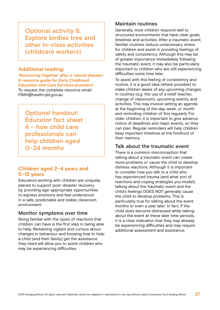# **Optional activity 8: Explore birdies tree and other in-class activities (childcare workers)**

### **Additional reading:**

**'Recovering Together after a natural disaster: A resource guide for Early Childhood Education and Care Services providers'.** To request the complete resource email: PIMH@health.qld.gov.au

**Optional handout: Educator fact sheet 4 – how child care professionals can help children aged 0–24 months**

## **Children aged 2–4 years and 5–12 years**

Educators working with children are uniquely placed to support post-disaster recovery by providing age-appropriate opportunities to express emotions and feel understood in a safe, predictable and stable classroom environment.

### **Monitor symptoms over time**

Being familiar with the types of reactions that children can have is the first step in being able to help. Remaining vigilant and curious about changes in behaviour and knowing how to help a child (and their family) get the assistance they need will allow you to assist children who may be experiencing difficulties.

## **Maintain routines**

Generally, most children respond well to structured environments that have clear goals, timelines and activities. After a traumatic event, familiar routines reduce unnecessary stress for children and assist in providing feelings of safety and consistency. Although this may be of greater importance immediately following the traumatic event, it may also be particularly important to children who are still experiencing difficulties some time later.

To assist with this feeling of consistency and routine, it is a good idea (where possible) to make children aware of any upcoming changes in routines (e.g. the use of a relief teacher, change of classroom), upcoming events, and activities. This may involve setting an agenda at the beginning of the day, week, or month and reminding children of this regularly. For older children, it is important to give advance notice of deadlines and major events, so they can plan. Regular reminders will help children keep important timelines at the forefront of their memory.

## **Talk about the traumatic event**

There is a common misconception that talking about a traumatic event can create more problems or cause the child to develop distress reactions. Although it is important to consider how you talk to a child who has experienced trauma (and what sort of reactions and coping strategies you model), talking about the traumatic event and the child's feelings DOES NOT generally cause the child to develop problems. This is particularly true for talking about the event months or even a year later. In fact, if the child does become distressed while talking about the event at these later time periods, it is a clear indication that they may already be experiencing difficulties and may require additional assessment and assistance.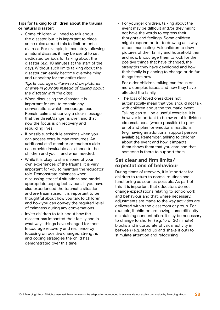### **Tips for talking to children about the trauma or natural disaster:**

• Some children will need to talk about the disaster, but it is important to place some rules around this to limit potential distress. For example, immediately following a natural disaster, it may be useful to set dedicated periods for talking about the disaster (e.g. 10 minutes at the start of the day). Without such limits talking about the disaster can easily become overwhelming and unhealthy for the entire class.

*Tip: Encourage children to draw pictures or write in journals instead of talking about the disaster with the class.* 

- When discussing the disaster, it is important for you to contain any conversations which encourage fear. Remain calm and convey a clear message that the threat/danger is over, and that now the focus is on recovery and rebuilding lives.
- If possible, schedule sessions when you can access extra human resources. An additional staff member or teacher's aide can provide invaluable assistance to the children and you, if and when needed.
- While it is okay to share some of your own experiences of the trauma, it is very important for you to maintain the 'educator' role. Demonstrate calmness when discussing stressful situations and model appropriate coping behaviours. If you have also experienced the traumatic situation and are traumatised, it is important to be thoughtful about how you talk to children and how you can convey the required level of calmness during any conversations.
- Invite children to talk about how the disaster has impacted their family and in what ways things have changed for them. Encourage recovery and resilience by focusing on positive changes, strengths and coping strategies the child has demonstrated over this time.
- For younger children, talking about the event may be difficult and/or they might not have the words to express their thoughts and feelings. Some children might respond better to drawing as a way of communicating. Ask children to draw pictures of their family and household then and now. Encourage them to look for the positive things that have changed, the strengths they have developed and how their family is planning to change or do fun things from now.
- For older children, talking can focus on more complex issues and how they have affected the family.
- The loss of loved ones does not automatically mean that you should not talk with children about the traumatic event. Talking can still be a useful exercise. It is however important to be aware of individual circumstances (where possible) to preempt and plan for emotional reactions (e.g. having an additional support person available). Remember, talking to children about the event and how it impacts them shows them that you care and that someone is there to support them.

## **Set clear and firm limits/ expectations of behaviour**

During times of recovery, it is important for children to return to normal routines and functioning as soon as possible. As part of this, it is important that educators do not change expectations relating to schoolwork and behaviour and that, where necessary, adjustments are made to the way activities are delivered within the classroom or group. For example, if children are having some difficulty maintaining concentration, it may be necessary to change to shorter (e.g. 15 or 30 minute) blocks and incorporate physical activity in between (e.g. stand up and shake it out) to stimulate attention and refocusing.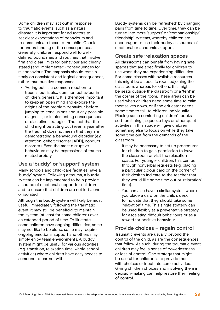Some children may 'act out' in response to traumatic events, such as a natural disaster. It is important for educators to set clear expectations of behaviours and to communicate these to the child. Check for understanding of the consequences. Generally, children respond well to welldefined boundaries and routines that involve firm and clear limits for behaviour and clearly stated (and implemented) consequences for misbehaviour. The emphasis should remain firmly on consistent and logical consequences, rather than punitive responses.

• 'Acting out' is a common reaction to trauma, but is also common behaviour in children, generally. It is therefore important to keep an open mind and explore the origins of the problem behaviour before jumping to conclusions about any possible diagnosis, or implementing consequences or discipline strategies. The fact that the child might be acting out (even a year after the trauma) does not mean that they are demonstrating a behavioural disorder (e.g. attention-deficit disorder [ADD], conduct disorder). Even the most disruptive behaviours may be expressions of traumarelated anxiety.

## **Use a 'buddy' or 'support' system**

Many schools and child-care facilities have a 'buddy' system. Following a trauma, a buddy system can be implemented to help provide a source of emotional support for children and to ensure that children are not left alone or isolated.

Although the buddy system will likely be most useful immediately following the traumatic event, it may still be beneficial to maintain the system (at least for some children) over an extended period of time. To illustrate, some children have ongoing difficulties, some may not like to be alone, some may require ongoing emotional support and others may simply enjoy team environments. A buddy system might be useful for various activities (e.g. transition, relaxation time, whole school activities) where children have easy access to someone to partner with.

Buddy systems can be 'refreshed' by changing pairs from time to time. Over time, they can be turned into more 'support' or 'companionship/ friendship' systems, whereby children are encouraged to use their buddy as sources of emotional or academic support.

## **Create safe 'relaxation spaces**

All classrooms can benefit from having safe spaces that are specifically for children to use when they are experiencing difficulties. For some classes with available resources, this might be a specific room adjoining the classroom; whereas for others, this might be seats outside the classroom or a 'tent' in the corner of the room. These areas can be used when children need some time to calm themselves down, or if the educator needs some time to talk to children individually. Placing some comforting children's books, soft furnishings, squeeze toys or other quiet activities in this space will give children something else to focus on while they take some time out from the demands of the classroom.

- It may be necessary to set up procedures for children to gain permission to leave the classroom or visit the relaxation space. For younger children, this can be through nonverbal requests (e.g. placing a particular colour card on the corner of their desk to indicate to the teacher that they would like some time out or 'relaxation' time).
- You can also have a similar system where you place a card on the child's desk to indicate that they should take some 'relaxation' time. This single strategy can be used flexibly as a preventative strategy for escalating difficult behaviours or as a reward for positive behaviour.

## **Provide choices – regain control**

Traumatic events are usually beyond the control of the child, as are the consequences that follow. As such, during the traumatic event, children may feel a sense of powerlessness or loss of control. One strategy that might be useful for children is to provide them with choices or input into some activities. Giving children choices and involving them in decision-making can help restore their feeling of control.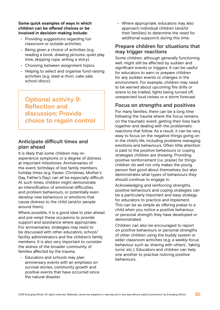**Some quick examples of ways in which children can be offered choices or be involved in decision-making include:**

- Providing suggestions regarding fun classroom or outside activities.
- Being given a choice of activities (e.g. reading a book, drawing pictures, quiet play time, skipping rope, writing a story).
- Choosing between assignment topics.
- Helping to select and organise fund-raising activities (e.g. read-a-thon, cake sale, school disco).

**Optional activity 9: Reflection and discussion: Provide choice to regain control**

## **Anticipate difficult times and plan ahead**

It is likely that some children may reexperience symptoms or a degree of distress at important milestones. Anniversaries of the event, birthdays of lost family members, holiday times (e.g. Easter, Christmas, Mother's Day, Father's Day) can all be especially difficult. At such times, children might demonstrate an intensification of emotional difficulties and problem behaviours, or potentially even develop new behaviours or emotions that cause distress to the child (and/or people around them).

Where possible, it is a good idea to plan ahead and pre-empt these occasions to provide support and assistance where appropriate. For anniversaries, strategies may need to be discussed with other educators, school/ facility administrators and the children's family members. It is also very important to consider the wishes of the broader community of families affected by the trauma.

• Educators and schools may plan anniversary events with an emphasis on survival stories, community growth and positive events that have occurred since the natural disaster.

• Where appropriate, educators may also approach individual children (and/or their families) to determine the need for additional support/s during this time.

## **Prepare children for situations that may trigger reactions**

Some children, although generally functioning well, might still be affected by sudden and significant events or triggers. It can be useful for educators to warn or prepare children for any sudden events or changes in the environment. For example, children may need to be warned about upcoming fire drills or sirens to be trialled, lights being turned off, unexpected loud noises or a storm forecast.

## **Focus on strengths and positives**

For many families, there can be a long time following the trauma where the focus remains on the traumatic event, getting their lives back together and dealing with the problematic reactions that follow. As a result, it can be very easy to focus on the negative things going on in the child's life, including problems managing emotions and behaviours. Often little attention is paid to the positive behaviours or coping strategies children are showing. Providing positive reinforcement (i.e. praise) for things children do well not only makes the young person feel good about themselves, but also demonstrates what types of behaviours they should continue to engage in.

Acknowledging and reinforcing strengths, positive behaviours and coping strategies can be a particularly important and easy strategy for educators to practice and implement. This can be as simple as offering praise to a child when you notice a positive behaviour, or personal strength they have developed or demonstrated.

Children can also be encouraged to report on positive behaviours or personal strengths of other children using the buddy system or wider classroom activities (e.g. a weekly focus behaviour such as 'sharing with others', 'taking turns' etc.). Educators and children can help one another to practise noticing positive behaviours.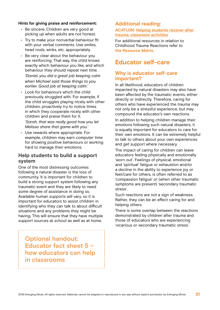### **Hints for giving praise and reinforcement:**

- Be sincere. Children are very good at picking up when adults are not honest.
- Try to make your nonverbal behaviour fit with your verbal comments. Use smiles, head nods, winks, etc. appropriately.
- Be very clear about the behaviour you are reinforcing. That way, the child knows exactly which behaviour you like, and which behaviour they should repeat next time. *'Daniel, you did a great job keeping calm when Michael said those things to you earlier. Good job at keeping calm.'*
- Look for behaviours which the child previously struggled with. For example, if the child struggles playing nicely with other children, proactively try to notice times in which they cooperate nicely with other children and praise them for it. *'Sarah, that was really good how you let*

*Melissa share that game with you.'*

• Use rewards where appropriate. For example, children may earn computer time for showing positive behaviours or working hard to manage their emotions.

### **Help students to build a support system**

One of the most distressing outcomes following a natural disaster is the loss of community. It is important for children to build a strong support system following any traumatic event and they are likely to need some degree of assistance in doing so. Available human supports will vary, so it is important for educators to assist children in identifying who they can talk to about difficult situations and any problems they might be having. This will ensure that they have multiple support sources at school as well as at home.

**Optional handout: Educator fact sheet 5 – how educators can help in classrooms**

### **Additional reading:**

### **ACATLGN: [Helping students recover after](https://emergingminds.com.au/resources/helping-students-recover-after-trauma-classroom-activities/) [trauma: classroom activities](https://emergingminds.com.au/resources/helping-students-recover-after-trauma-classroom-activities/)**

For additional resources in relation to Childhood Trauma Reactions refer to **the Resource Matrix.**

## **Educator self-care**

### **Why is educator self-care important?**

In all likelihood, educators of children impacted by natural disasters may also have been affected by the traumatic events, either directly or indirectly. Therefore, caring for others who have experienced the trauma may not only be a stressful experience, but may compound the educator's own reactions.

In addition to helping children manage their emotions following such natural disasters, it is equally important for educators to care for their own emotions. It can be extremely helpful to talk to others about your own experiences and get support where necessary.

The impact of caring for children can leave educators feeling physically and emotionally 'worn out'. Feelings of physical, emotional and 'spiritual' fatigue or exhaustion and/or a decline in the ability to experience joy or feel/care for others, is often referred to as 'compassion fatigue' or (when other traumatic symptoms are present) 'secondary traumatic stress'.

Such reactions are not a sign of weakness. Rather, they can be an effect caring for and helping others.

There is some overlap between the reactions demonstrated by children after trauma and those of educators who are experiencing 'vicarious or secondary traumatic stress'.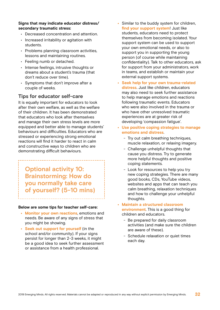### **Signs that may indicate educator distress/ secondary traumatic stress:**

- Decreased concentration and attention.
- Increased irritability or agitation with students.
- Problems planning classroom activities, lessons and maintaining routines.
- Feeling numb or detached.
- Intense feelings, intrusive thoughts or dreams about a student's trauma (that don't reduce over time).
- Symptoms that don't improve after a couple of weeks.

## **Tips for educator self-care**

It is equally important for educators to look after their own welfare, as well as the welfare of their children. It has been demonstrated that educators who look after themselves and manage their own stress levels are more equipped and better able to manage students' behaviours and difficulties. Educators who are stressed or experiencing strong emotional reactions will find it harder to react in calm and constructive ways to children who are demonstrating difficult behaviours.

**Optional activity 10: Brainstorming: How do you normally take care of yourself? (5-10 mins)**

### **Below are some tips for teacher self-care:**

- **• Monitor your own reactions**, emotions and needs. Be aware of any signs of stress that you might be showing.
- **• Seek out support for yourself** (in the school and/or community). If your signs persist for longer than 2-3 weeks, it might be a good idea to seek further assessment or assistance from a health professional.
- **•** Similar to the buddy system for children, **find your support system**! Just like students, educators need to protect themselves from becoming isolated. Your support system can be used to support your own emotional needs, or also to support you in supporting the young person (of course while maintaining confidentiality). Talk to other educators, ask for support from your administrators, work in teams, and establish or maintain your external support systems.
- **• Seek help for your own trauma-related distress**. Just like children, educators may also need to seek further assistance to help manage emotions and reactions following traumatic events. Educators who were also involved in the trauma or who have other unresolved traumatic experiences are at greater risk of developing 'compassion fatigue'.
- **• Use positive coping strategies to manage emotions and distress**.
	- Try out calm breathing techniques, muscle relaxation, or relaxing imagery.
	- Challenge unhelpful thoughts that cause you distress. Try to generate more helpful thoughts and positive coping statements.
	- Look for resources to help you try new coping strategies. There are many good books, CDs, YouTube videos, websites and apps that can teach you calm breathing, relaxation techniques and how to challenge your unhelpful thoughts.
- **• Maintain a structured classroom environment**. This is a good thing for children and educators.
	- Be prepared for daily classroom activities (and make sure the children are aware of these).
	- Schedule relaxation or quiet times each day.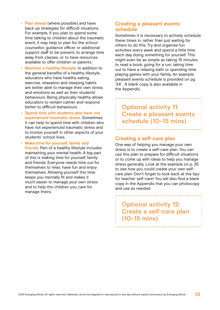- **• Plan ahead** (where possible) and have back up strategies for difficult situations. For example, if you plan to spend some time talking to children about the traumatic event, it may help to plan for the school counsellor, guidance officer or additional support staff to be present, to arrange time away from classes, or to have resources available to offer children or parents.
- **• Maintain a healthy lifestyle**. In addition to the general benefits of a healthy lifestyle, educators who have healthy eating, exercise, relaxation and sleeping habits are better able to manage their own stress and emotions as well as their students' behaviours. Being physically healthy allows educators to remain calmer and respond better to difficult behaviours.
- **• Spend time with students who have not experienced traumatic stress**. Sometimes it can help to spend time with children who have not experienced traumatic stress and to involve yourself in other aspects of your students' school lives.

**• Make time for yourself, family and friends**. Part of a healthy lifestyle includes maintaining your mental health. A big part of this is making time for yourself, family and friends. Everyone needs time out for themselves to relax, have fun and enjoy themselves. Allowing yourself this time keeps you mentally fit and makes it much easier to manage your own stress and to help the children you care for manage theirs.

### **Creating a pleasant events schedule**

Sometimes it is necessary to actively schedule these times in, rather than just waiting for others to do this. Try and organise fun activities every week and spend a little time each day doing something for yourself. This might even be as simple as taking 15 minutes to read a book, going for a run, taking time out to have a relaxing bath or spending time playing games with your family. An example pleasant events schedule is provided on pg '34'. A blank copy is also available in the Appendix.

**Optional activity 11: Create a pleasant events schedule (10-15 mins)**

### **Creating a self-care plan**

One way of helping you manage your own stress is to create a self-care plan. You can use this plan to prepare for difficult situations or to come up with ideas to help you manage stress generally. Look at the example on p. 35 to see how you could create your own selfcare plan. Don't forget to look back at the tips for teacher self-care! You will also find a blank copy in the Appendix that you can photocopy and use as needed.

**Optional activity 12: Create a self-care plan (10-15 mins)**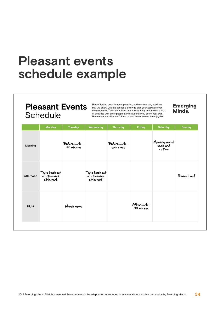# **Pleasant events schedule example**

# **Pleasant Events Schedule**

Part of feeling good is about planning, and carrying out, activities that we enjoy. Use the schedule below to plan your activities over the next week. Try to do at least one activity a day and include a mix of activities with other people as well as ones you do on your own. Remember, activities don't have to take lots of time to be enjoyable.

**Emerging**<br>Minds.

|           | <b>Monday</b>                                  | <b>Tuesday</b>              | Wednesday                                      | <b>Thursday</b>             | Friday                     | <b>Saturday</b>                     | <b>Sunday</b> |
|-----------|------------------------------------------------|-----------------------------|------------------------------------------------|-----------------------------|----------------------------|-------------------------------------|---------------|
| Morning   |                                                | Before work -<br>30 min run |                                                | Before work -<br>spin class |                            | Morning sweat<br>sesh and<br>coffee |               |
| Afternoon | Take lunch out<br>of office and<br>sit in park |                             | Take lunch out<br>of office and<br>sit in park |                             |                            |                                     | Beach time!   |
| Night     |                                                | Watch movie                 |                                                |                             | After work -<br>30 min run |                                     |               |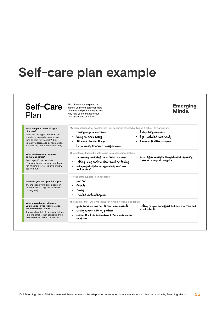# **Self-care plan example**

| <b>Self-Care</b><br>Plan                                                                                                                                                                                                                 | This planner can help you to<br>identify your own personal signs<br>of stress and plan strategies that<br>may help you to manage your<br>own stress and emotions.                                                                                              | <b>Emerging</b><br>Minds.                                                                |
|------------------------------------------------------------------------------------------------------------------------------------------------------------------------------------------------------------------------------------------|----------------------------------------------------------------------------------------------------------------------------------------------------------------------------------------------------------------------------------------------------------------|------------------------------------------------------------------------------------------|
| What are your personal signs<br>of stress?<br>What are the signs that might tell<br>you that you need to take some<br>time to care for yourself? (E.g.<br>irritability, decreased concentration,<br>withdrawing from friends/activities) | My personal signs that might tell me I am becoming stressed or finding it difficult to manage are:<br>• feeling edgy or restless<br>$\bullet$<br>losing patience easily<br>$\bullet$<br>· difficulty planning things<br>· I stop seeing friends/family as much | l stop doing exercise<br>l get irritated more easily<br>· I have difficulties sleeping   |
| What strategies can you use<br>to manage stress?<br>Be as specific as possible.<br>(E.g. 'practice abdominal breathing<br>for 10 minutes', 'talk to my partner',<br>'go for a run').                                                     | The strategies I would be able to use to manage stress include:<br>exercising each day for at least 20 mins<br>talking to my partner about how I am feeling<br>using my mindfulness app to help me 'calm<br>and centre.                                        | iden <del>lif</del> ying unhelpful thoughts and replacing<br>them with helpful thoughts. |
| Who can you call upon for support?<br>Try and identify multiple people in<br>different areas. (E.g. family, friends,<br>colleagues)                                                                                                      | If I need extra support, I can ask/talk to:<br>partner<br>$\bullet$<br>friends<br>$\bullet$<br>· family<br>· trusted work colleagues.                                                                                                                          |                                                                                          |
| What enjoyable activities can<br>you include in your routine over<br>the next month? When?<br>Try to make a list of various activities<br>(big and small). Then schedule them<br>into a Pleasant Events Schedule.                        | The activities that I will try to include in my routine (and stick to!) are:<br>going for a 30 min run, three times a week<br>read a book.<br>seeing a movie with my partner<br>taking the kids to the beach for a swim on the<br>$\bullet$<br>weekend         | • taking 10 mins for myself to have a coffee and                                         |

٦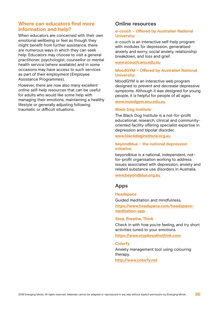## **Where can educators find more information and help?**

When educators are concerned with their own emotional wellbeing or feel as though they might benefit from further assistance, there are numerous ways in which they can seek help. Educators may choose to visit a general practitioner, psychologist, counsellor or mental health service (where available) and in some occasions may have access to such services as part of their employment (Employee Assistance Programmes).

However, there are now also many excellent online self-help resources that can be useful for adults who would like some help with managing their emotions, maintaining a healthy lifestyle or generally adjusting following traumatic or difficult situations.

### **Online resources**

### **e-couch – Offered by Australian National University:**

e-couch is an interactive self-help program with modules for depression, generalised anxiety and worry, social anxiety, relationship breakdown, and loss and grief.

### **www.ecouch.anu.edu.au**

### **MoodGYM – Offered by Australian National University:**

MoodGYM is an interactive web program designed to prevent and decrease depressive symptoms. Although it was designed for young people, it is helpful for people of all ages.

### **www.moodgym.anu.edu.au**

#### **Black Dog Institute**

The Black Dog Institute is a not-for-profit educational, research, clinical and communityoriented facility offering specialist expertise in depression and bipolar disorder.

### **www.blackdoginstitute.org.au**

### **beyondblue – the national depression initiative**

beyondblue is a national, independent, notfor-profit organisation working to address issues associated with depression, anxiety and related substance use disorders in Australia.

### **www.beyondblue.org.au**

### **Apps**

#### **Headspace**

Guided meditation and mindfulness.

**https://www.headspace.com/headspacemeditation-app**

### **Stop, Breathe, Think**

Check in with how you're feeling, and try short activities tuned to your emotions.

**https://www.stopbreathethink.com**

#### **Colorfy**

Anxiety management tool using colouring therapy.

**http://www.colorfy.net**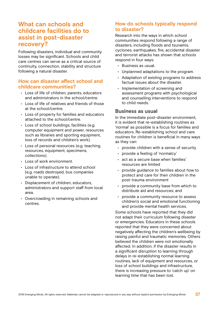# **What can schools and childcare facilities do to assist in post-disaster recovery?**

Following disasters, individual and community losses may be significant. Schools and child care centres can serve as a critical source of continuity, connection, stability and structure following a natural disaster.

## **How can disaster affect school and childcare communities?**

- Loss of life of children, parents, educators and administrators in the school/centre.
- Loss of life of relatives and friends of those at the school/centre.
- Loss of property for families and educators attached to the school/centre.
- Loss of school buildings, facilities (e.g. computer equipment and power, resources such as libraries and sporting equipment, loss of records and children's work).
- Loss of personal resources (e.g. teaching resources, equipment, specimens, collections).
- Loss of work environment.
- Loss of infrastructure to attend school (e.g. roads destroyed, bus companies unable to operate).
- Displacement of children, educators, administrators and support staff from local area.
- Overcrowding in remaining schools and centres.

## **How do schools typically respond to disaster?**

Research into the ways in which school communities respond following a range of disasters, including floods and tsunamis, cyclones, earthquakes, fire, accidental disaster and terrorist attacks has shown that schools respond in four ways:

- Business as usual.
- Unplanned adaptations to the program.
- Adaptation of existing programs to address factual issues about the disaster.
- Implementation of screening and assessment programs with psychological and counselling interventions to respond to child needs.

## **Business as usual**

In the immediate post-disaster environment, it is evident that re-establishing routines as 'normal' as possible is a focus for families and educators. Re-establishing school and care routines for children is beneficial in many ways as they can:

- provide children with a sense of security
- provide a feeling of 'normalcy'
- act as a secure base when families' resources are limited
- provide guidance to families about how to protect and care for their children in the post-trauma environment
- provide a community base from which to distribute aid and resources; and
- provide a community resource to assess children's social and emotional functioning and provide mental health services.

Some schools have reported that they did not adapt their curriculum following disaster or emergencies. Educators in these schools reported that they were concerned about negatively affecting the children's wellbeing by raising painful and traumatic memories. Others believed the children were not emotionally affected. In addition, if the disaster results in a significant disruption to learning through delays in re-establishing normal learning routines, lack of equipment and resources, or loss of school buildings and infrastructure, there is increasing pressure to 'catch up' on learning time that has been lost.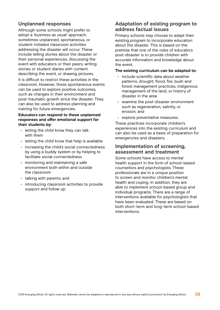## **Unplanned responses**

Although some schools might prefer to adopt a 'business as usual' approach, sometimes unplanned, spontaneous, or student-initiated classroom activities addressing the disaster will occur. These include telling stories about the disaster or their personal experiences, discussing the event with educators or their peers, writing stories or student diaries with content describing the event, or drawing pictures.

It is difficult to restrict these activities in the classroom. However, these spontaneous events can be used to explore positive outcomes, such as changes in their environment and post-traumatic growth since the disaster. They can also be used to address planning and training for future emergencies.

### **Educators can respond to these unplanned responses and offer emotional support for their students by:**

- letting the child know they can talk with them
- letting the child know that help is available
- increasing the child's social connectedness by using a buddy system or by helping to facilitate social connectedness
- monitoring and maintaining a safe environment both within and outside the classroom
- talking with parents; and
- introducing classroom activities to provide support and follow up.

## **Adaptation of existing program to address factual issues**

Primary schools may choose to adapt their existing program to incorporate education about the disaster. This is based on the premise that one of the roles of educators post-disaster is to provide children with accurate information and knowledge about the event.

### **The existing curriculum can be adapted to:**

- include scientific data about weather patterns, drought, flood, fire, bush and forest management practices, indigenous management of the land, or history of disaster in the area
- examine the post-disaster environment such as regeneration, salinity, or erosion; and
- explore preventative measures.

These practices incorporate children's experiences into the existing curriculum and can also be used as a basis of preparation for emergencies and disasters.

### **Implementation of screening, assessment and treatment**

Some schools have access to mental health support in the form of school-based counsellors and psychologists. These professionals are in a unique position to screen and monitor children's mental health and coping. In addition, they are able to implement school-based group and individual programs. There are a range of interventions available for psychologists that have been evaluated. These are based on both short-term and long-term school-based interventions.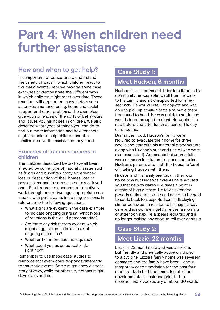# **Part 4: When children need further assistance**

# **How and when to get help?**

It is important for educators to understand the variety of ways in which children react to traumatic events. Here we provide some case examples to demonstrate the different ways in which children might react over time. These reactions will depend on many factors such as pre-trauma functioning, home and social support and other problems. The examples give you some idea of the sorts of behaviours and issues you might see in children. We also describe what types of things you can do to find out more information and how teachers might be able to help children and their families receive the assistance they need.

## **Examples of trauma reactions in children**

The children described below have all been affected by some type of natural disaster such as floods and bushfires. Many experienced loss or destruction of their homes, loss of possessions, and in some cases, loss of loved ones. Facilitators are encouraged to actively work through one or two age-appropriate case studies with participants in training sessions, in reference to the following questions:

- What signs are evident in the case example to indicate ongoing distress? What types of reactions is the child demonstrating?
- Are there any risk factors evident which might suggest the child is at risk of ongoing difficulties?
- What further information is required?
- What could you as an educator do right now?

Remember to use these case studies to reinforce that every child responds differently to traumatic events. Some might show distress straight away, while for others symptoms might develop over time.

# **Case Study 1:**

# **Meet Hudson, 6 months**

Hudson is six months old. Prior to a flood in his community he was able to roll from his back to his tummy and sit unsupported for a few seconds. He would grasp at objects and was able to pick up smaller items and move them from hand to hand. He was quick to settle and would sleep through the night. He would also nap before and after lunch as part of his day care routine.

During the flood, Hudson's family were required to evacuate their home for three weeks and stay with his maternal grandparents, along with Hudson's aunt and uncle (who were also evacuated). Arguments between adults were common in relation to space and noise. Hudson's parents often left the house to 'cool off', taking Hudson with them.

Hudson and his family are back in their own home now but Hudson's parents have advised you that he now wakes 3-4 times a night in a state of high distress. He takes extended periods of time to soothe and needs to be held to settle back to sleep. Hudson is displaying similar behaviour in relation to his naps at day care and is now rarely getting either a morning or afternoon nap. He appears lethargic and is no longer making any effort to roll over or sit up.

# **Case Study 2:**

# **Meet Lizzie, 22 months**

Lizzie is 22 months old and was a serious but friendly and physically active child prior to a cyclone. Lizzie's family home was severely damaged and the family have been living in temporary accommodation for the past four months. Lizzie had been meeting all of her developmental milestones prior to the disaster, had a vocabulary of about 30 words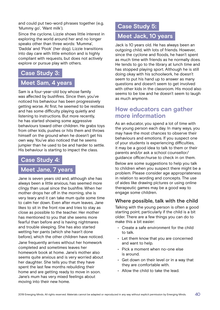and could put two-word phrases together (e.g. 'Mummy go', 'Want milk').

Since the cyclone, Lizzie shows little interest in exploring the world around her and no longer speaks other than three words: 'Mumma', 'Dadda' and 'Pook' (her dog). Lizzie transitions into day care with little emotion and is highly compliant with requests, but does not actively explore or pursue play with others.

## **Case Study 3:**

## **Meet Sam, 4 years**

Sam is a four-year-old boy whose family was affected by bushfires. Since then, you've noticed his behaviour has been progressively getting worse. At first, he seemed to be restless and has some difficulty playing quietly and listening to instructions. But more recently, he has started showing some aggressive behaviours toward other children. He grabs toys from other kids, pushes or hits them and throws himself on the ground when he doesn't get his own way. You've also noticed that he seems jumpier than he used to be and harder to settle. His behaviour is starting to impact the class.

## **Case Study 4:**

# **Meet Jane, 7 years**

Jane is seven years old and, although she has always been a little anxious, has seemed more clingy than usual since the bushfire. When her mother drops her off in the morning, she is very teary and it can take mum quite some time to calm her down. Even after mum leaves, Jane likes to sit in the front row and tries to stay as close as possible to the teacher. Her mother has mentioned to you that she seems more fearful than before and is having nightmares and trouble sleeping. She has also started wetting her pants (which she hasn't done before), which the other children have noticed.

Jane frequently arrives without her homework completed and sometimes leaves her homework book at home. Jane's mother also seems quite anxious and is very worried about her daughter. She tells you that they have spent the last few months rebuilding their home and are getting ready to move in soon. Jane's mum has very mixed feelings about moving into their new home.

## **Case Study 5:**

# **Meet Jack, 10 years**

Jack is 10 years old. He has always been an outgoing child, with lots of friends. However, since the cyclone and floods, he hasn't spent as much time with friends as he normally does. He tends to go to the library at lunch time and has stopped playing sport. Although he is still doing okay with his schoolwork, he doesn't seem to put his hand up to answer as many questions and doesn't seem to get involved with other kids in the classroom. His mood also seems to be low and he doesn't seem to laugh as much anymore.

# **How educators can gather more information**

As an educator, you spend a lot of time with the young person each day. In many ways, you may have the most chances to observe their behaviours and emotions. If you suspect one of your students is experiencing difficulties, it may be a good idea to talk to them or their parents and/or ask a school counsellor/ guidance officer/nurse to check in on them.

Below are some suggestions to help you talk to children when you suspect there might be a problem. Please consider age appropriateness in relation to wording and concepts. The use of aides like drawing pictures or using online therapeutic games may be a good way to engage some children.

## **Where possible, talk with the child**

Talking with the young person is often a good starting point, particularly if the child is a bit older. There are a few things you can do to make this a bit easier:

- Create a safe environment for the child to talk.
- Let them know that you are concerned and want to help.
- Pick a moment when no-one else is around.
- Get down on their level or in a way that they are comfortable with.
- Allow the child to take the lead.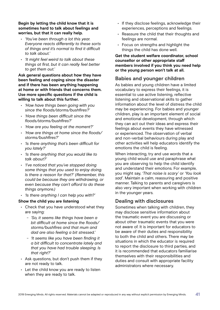**Begin by letting the child know that it is sometimes hard to talk about feelings and worries, but that it can really help.**

- *• 'You've been through a lot this year. Everyone reacts differently to these sorts of things and it's normal to find it difficult to talk about.'*
- *• 'It might feel weird to talk about these things at first, but it can really feel better to get them out.'*

**Ask general questions about how they have been feeling and coping since the disaster and if there has been anything happening at home or with friends that concerns them. Use more specific questions if the child is willing to talk about this further.**

- *• 'How have things been going with you since the floods/storms/bushfires?'*
- *• 'Have things been difficult since the floods/storms/bushfires?'*
- *• 'How are you feeling at the moment?'*
- *• 'How are things at home since the floods/ storms/bushfires?'*
- *• 'Is there anything that's been difficult for you lately?'*
- *• 'Is there anything that you would like to talk about?'*
- *• 'I've noticed that you've stopped doing some things that you used to enjoy doing. Is there a reason for that?' (Remember, this could be because they are withdrawing, or even because they can't afford to do these things anymore.)*
- *• 'Is there anything I can help you with?'*

### **Show the child you are listening**

- Check that you have understood what they are saying:
	- *'So, it seems like things have been a bit difficult at home since the floods/ storms/bushfires and that mum and dad are also feeling a bit stressed.'*
	- *'It seems like you have been finding it a bit difficult to concentrate lately and that you have had trouble sleeping. Is that right?'*
- Ask questions, but don't push them if they are not ready to talk.
- Let the child know you are ready to listen when they are ready to talk.
- If they disclose feelings, acknowledge their experiences, perceptions and feelings.
- Reassure the child that their thoughts and feelings are normal.
- Focus on strengths and highlight the things the child has done well.

### **Get the student welfare coordinator, school counsellor or other appropriate staff members involved if you think you need help or the young person won't talk at all.**

## **Babies and younger children**

As babies and young children have a limited vocabulary to express their feelings, it is essential to use active listening, reflective listening and observational skills to gather information about the level of distress the child may be experiencing. For babies and younger children, play is an important element of social and emotional development, through which they can act out their ideas and express their feelings about events they have witnessed or experienced. The observation of verbal and non-verbal behaviours during play and other activities will help educators identify the emotions the child is feeling.

When interacting, try and use words that a young child would use and paraphrase what you are observing to help the child identify and understand their emotions. For example, you might say, *'That noise is scary'* or *'You look sad'*. Maintain a calm, reassuring and positive manner. Talking to parents and caregivers is also very important when working with children in the younger years.

## **Dealing with disclosures**

Sometimes when talking with children, they may disclose sensitive information about the traumatic event you are discussing or about other traumatic events that you were not aware of. It is important for educators to be aware of their duties and responsibility to both the child and others. There may be situations in which the educator is required to report the disclosure to third parties, and it is recommended that educators familiarise themselves with their responsibilities and duties and consult with appropriate facility administrators where necessary.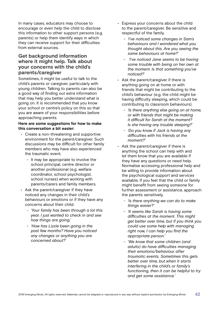In many cases, educators may choose to encourage or even help the child to disclose this information to other support persons (e.g. parents) or help them identify ways in which they can receive support for their difficulties from external sources.

### **Get background information where it might help. Talk about your concerns with the child's parents/caregiver**

Sometimes, it might be useful to talk to the child's parents or caregiver, particularly with young children. Talking to parents can also be a good way of finding out extra information that may help you better understand what is going on. It is recommended that you know your school or centre's policy on this so that you are aware of your responsibilities before approaching parents.

### **Here are some suggestions for how to make this conversation a bit easier:**

- Create a non-threatening and supportive environment for the parent/caregiver. Such discussions may be difficult for other family members who may have also experienced the traumatic event.
	- It may be appropriate to involve the school principal, centre director or another professional (e.g. welfare coordinator, school psychologist, school nurses) when working with parents/carers and family members.
- Ask the parent/caregiver if they have noticed any changes in their child's behaviours or emotions or if they have any concerns about their child.
	- *'Your family has been through a lot this year. I just wanted to check in and see how things are going.'*
	- *'How has Lizzie been going in the past few months? Have you noticed any changes or anything you are concerned about?'*
- Express your concerns about the child to the parent/caregiver. Be sensitive and respectful of the family.
	- *'I've noticed some changes in Sam's behaviours and I wondered what you thought about this. Are you seeing the same behaviours at home?'*
	- - *'I've noticed Jane seems to be having some trouble with being on her own at the moment. Is that something you've noticed?'*
- Ask the parent/caregiver if there is anything going on at home or with friends that might be contributing to the child's behaviour (e.g. the child might be having difficulty sleeping, which could be contributing to classroom behaviours).
	- *'Is there anything else going on at home, or with friends that might be making it difficult for Sarah at the moment? Is she having any trouble sleeping?'*
	- *'Do you know if Jack is having any difficulties with his friends at the moment?'*
- Ask the parent/caregiver if there is anything the school can help with and let them know that you are available if they have any questions or need help. Normalise accessing professional help and be willing to provide information about the psychological support and services available. If you feel that the child or family might benefit from seeing someone for further assessment or assistance, approach the parents sensitively.
	- *'Is there anything we can do to make things easier?'*
	- *'It seems like Sarah is having some difficulties at the moment. This might get better over time, but if you think you could use some help with managing right now, I can help you find the appropriate person.'*
	- *'We know that some children (and adults) do have difficulties managing their emotions/behaviour after traumatic events. Sometimes this gets better over time, but when it starts interfering in the child's or family's functioning, then it can be helpful to try and get some assistance.'*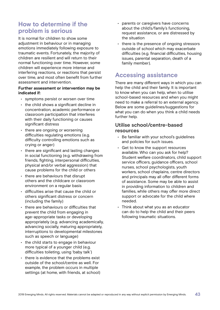# **How to determine if the problem is serious**

It is normal for children to show some adjustment in behaviour or in managing emotions immediately following exposure to traumatic events. Fortunately, the majority of children are resilient and will return to their normal functioning over time. However, some children will experience more intense and interfering reactions, or reactions that persist over time, and most often benefit from further assessment and intervention.

### **Further assessment or intervention may be indicated if:**

- symptoms persist or worsen over time
- the child shows a significant decline in concentration, academic performance or classroom participation that interferes with their daily functioning or causes significant distress
- there are ongoing or worsening difficulties regulating emotions (e.g. difficulty controlling emotions such as crying or anger)
- there are significant and lasting changes in social functioning (e.g. withdrawing from friends, fighting, interpersonal difficulties, physical and/or verbal aggression) that cause problems for the child or others
- there are behaviours that disrupt others and the childcare or classroom environment on a regular basis
- difficulties arise that cause the child or others significant distress or concern (including the family)
- there are behaviours or difficulties that prevent the child from engaging in age-appropriate tasks or developing appropriately (e.g. advancing academically, advancing socially, maturing appropriately, interruptions to developmental milestones such as speech or language)
- the child starts to engage in behaviour more typical of a younger child (e.g. difficulties toileting, using 'baby talk')
- there is evidence that the problems exist outside of the school/centre as well. For example, the problem occurs in multiple settings (at home, with friends, at school)
- parents or caregivers have concerns about the child's/family's functioning, request assistance, or are distressed by the situation
- there is the presence of ongoing stressors outside of school which may exacerbate difficulties (e.g. financial difficulties, housing issues, parental separation, death of a family member).

# **Accessing assistance**

There are many different ways in which you can help the child and their family. It is important to know when you can help, when to utilise school-based resources and when you might need to make a referral to an external agency. Below are some guidelines/suggestions for what you can do when you think a child needs further help.

## **Utilise school/centre-based resources**

- Be familiar with your school's guidelines and policies for such issues.
- Get to know the support resources available. Who can you ask for help? Student welfare coordinators, child support service officers, guidance officers, school nurses, school psychologists, youth workers, school chaplains, centre directors and principals may all offer different forms of assistance. Some may be able to assist in providing information to children and families, while others may offer more direct support or advocate for the child where needed.
- Think about what you as an educator can do to help the child and their peers following traumatic situations.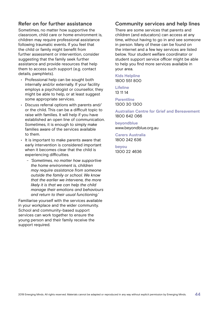## **Refer on for further assistance**

Sometimes, no matter how supportive the classroom, child care or home environment is, children may require professional assistance following traumatic events. If you feel that the child or family might benefit from further assessment or intervention, consider suggesting that the family seek further assistance and provide resources that help them to access such support (e.g. contact details, pamphlets).

- Professional help can be sought both internally and/or externally. If your facility employs a psychologist or counsellor, they might be able to help, or at least suggest some appropriate services.
- Discuss referral options with parents and/ or the child. This can be a difficult topic to raise with families. It will help if you have established an open line of communication. Sometimes, it is enough to simply make families aware of the services available to them.
- It is important to make parents aware that early intervention is considered important when it becomes clear that the child is experiencing difficulties.
	- *'Sometimes, no matter how supportive the home environment is, children may require assistance from someone outside the family or school. We know that the earlier we intervene, the more likely it is that we can help the child manage their emotions and behaviours and return to their usual functioning.'*

Familiarise yourself with the services available in your workplace and the wider community. School and community-based support services can work together to ensure the young person and their family receive the support required.

## **Community services and help lines**

There are some services that parents and children (and educators) can access at any time, without having to go in and see someone in person. Many of these can be found on the internet and a few key services are listed below. Your student welfare coordinator or student support service officer might be able to help you find more services available in your area.

## **Kids Helpline**

1800 551 800

**Lifeline** 13 11 14

**Parentline** 1300 30 1300

**Australian Centre for Grief and Bereavement** 1800 642 066

**beyondblue** www.beyondblue.org.au

**Carers Australia** 1800 242 636

**beyou** 1300 22 4636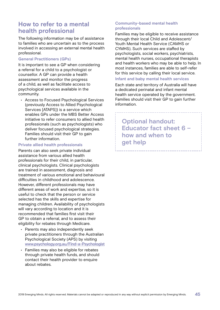# **How to refer to a mental health professional**

The following information may be of assistance to families who are uncertain as to the process involved in accessing an external mental health professional.

### **General Practitioners (GPs)**

It is important to see a GP when considering a referral for a child to a psychologist or counsellor. A GP can provide a health assessment and monitor the progress of a child, as well as facilitate access to psychological services available in the community.

• Access to Focused Psychological Services (previously Access to Allied Psychological Services [ATAPS]) is a service which enables GPs under the MBS Better Access initiative to refer consumers to allied health professionals (such as psychologists) who deliver focused psychological strategies. Families should visit their GP to gain further information.

### **Private allied health professionals**

Parents can also seek private individual assistance from various allied health professionals for their child, in particular, clinical psychologists. Clinical psychologists are trained in assessment, diagnosis and treatment of various emotional and behavioural difficulties in childhood and adolescence. However, different professionals may have different areas of work and expertise, so it is useful to check that the person or service selected has the skills and expertise for managing children. Availability of psychologists will vary according to location and it is recommended that families first visit their GP to obtain a referral, and to assess their eligibility for rebates through Medicare.

- Parents may also independently seek private practitioners through the Australian Psychological Society (APS) by visiting **[www.psychology.org.au/Find-a-Psychologist](https://www.psychology.org.au/Find-a-Psychologist)**
- Families may also be eligible for rebates through private health funds, and should contact their health provider to enquire about rebates.

### **Community-based mental health professionals**

Families may be eligible to receive assistance through their local Child and Adolescent/ Youth Mental Health Service (CAMHS or CYMHS). Such services are staffed by psychologists, social workers, psychiatrists, mental health nurses, occupational therapists and health workers who may be able to help. In most instances, families are able to self-refer for this service by calling their local service.

### **Infant and baby mental health services**

Each state and territory of Australia will have a dedicated perinatal and infant mental health service operated by the government. Families should visit their GP to gain further information.

**Optional handout: Educator fact sheet 6 – how and when to get help**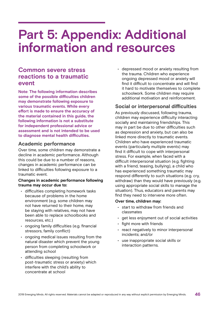# **Part 5: Appendix: Additional information and resources**

# **Common severe stress reactions to a traumatic event**

**Note**: **The following information describes some of the possible difficulties children may demonstrate following exposure to various traumatic events. While every effort is made to ensure the accuracy of the material contained in this guide, the following information is not a substitute for independent professional advice or assessment and is not intended to be used to diagnose mental health difficulties.**

## **Academic performance**

Over time, some children may demonstrate a decline in academic performance. Although this could be due to a number of reasons, changes in academic performance can be linked to difficulties following exposure to a traumatic event.

### **Changes in academic performance following trauma may occur due to:**

- difficulties completing homework tasks because of problems in the home environment (e.g. some children may not have returned to their home, may be staying with relatives, may not have been able to replace schoolbooks and resources, etc.)
- ongoing family difficulties (e.g. financial stressors, family conflict)
- ongoing medical issues resulting from the natural disaster which prevent the young person from completing schoolwork or attending school
- difficulties sleeping (resulting from post-traumatic stress or anxiety) which interfere with the child's ability to concentrate at school

• depressed mood or anxiety resulting from the trauma. Children who experience ongoing depressed mood or anxiety will find it difficult to concentrate and will find it hard to motivate themselves to complete schoolwork. Some children may require additional motivation and reinforcement.

## **Social or interpersonal difficulties**

As previously discussed, following trauma, children may experience difficulty interacting socially and maintaining friendships. This may in part be due to other difficulties such as depression and anxiety, but can also be linked more directly to traumatic events. Children who have experienced traumatic events (particularly multiple events) may find it difficult to cope with interpersonal stress. For example, when faced with a difficult interpersonal situation (e.g. fighting with a friend, teasing, bullying), a child who has experienced something traumatic may respond differently to such situations (e.g. cry, withdraw) than they would have previously (e.g. using appropriate social skills to manage the situation). Thus, educators and parents may find they need to intervene more often.

### **Over time, children may:**

- start to withdraw from friends and classmates
- get less enjoyment out of social activities
- fight more with friends
- react negatively to minor interpersonal incidents; and/or
- use inappropriate social skills or interaction patterns.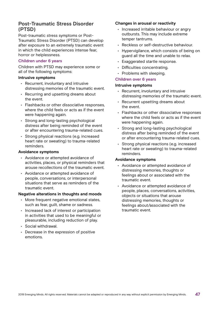## **Post-Traumatic Stress Disorder (PTSD)**

Post-traumatic stress symptoms or Post-Traumatic Stress Disorder (PTSD) can develop after exposure to an extremely traumatic event in which the child experiences intense fear, horror or helplessness.

### **Children under 6 years**

Children with PTSD may experience some or all of the following symptoms:

#### **Intrusive symptoms**

- Recurrent, involuntary and intrusive distressing memories of the traumatic event.
- Recurring and upsetting dreams about the event.
- Flashbacks or other dissociative responses, where the child feels or acts as if the event were happening again.
- Strong and long-lasting psychological distress after being reminded of the event or after encountering trauma-related cues.
- Strong physical reactions (e.g. increased heart rate or sweating) to trauma-related reminders.

#### **Avoidance symptoms**

- Avoidance or attempted avoidance of activities, places, or physical reminders that arouse recollections of the traumatic event.
- Avoidance or attempted avoidance of people, conversations, or interpersonal situations that serve as reminders of the traumatic event.

### **Negative alterations in thoughts and moods**

- More frequent negative emotional states, such as fear, guilt, shame or sadness.
- Increased lack of interest or participation in activities that used to be meaningful or pleasurable, including reduction of play.
- Social withdrawal.
- Decrease in the expression of positive emotions.

### **Changes in arousal or reactivity**

- Increased irritable behaviour or angry outbursts. This may include extreme temper tantrums.
- Reckless or self-destructive behaviour.
- Hypervigilance, which consists of being on guard all the time and unable to relax.
- Exaggerated startle response.
- Difficulties concentrating.
- Problems with sleeping.

### **Children over 6 years**

#### **Intrusive symptoms**

- Recurrent, involuntary and intrusive distressing memories of the traumatic event.
- Recurrent upsetting dreams about the event.
- Flashbacks or other dissociative responses where the child feels or acts as if the event were happening again.
- Strong and long-lasting psychological distress after being reminded of the event or after encountering trauma-related cues.
- Strong physical reactions (e.g. increased heart rate or sweating) to trauma-related reminders.

#### **Avoidance symptoms**

- Avoidance or attempted avoidance of distressing memories, thoughts or feelings about or associated with the traumatic event.
- Avoidance or attempted avoidance of people, places, conversations, activities, objects or situations that arouse distressing memories, thoughts or feelings about/associated with the traumatic event.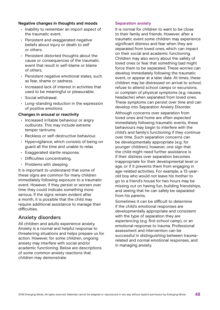### **Negative changes in thoughts and moods**

- Inability to remember an import aspect of the traumatic event.
- Persistent and exaggerated negative beliefs about injury or death to self or others.
- Persistent distorted thoughts about the cause or consequences of the traumatic event that result in self-blame or blame of others.
- Persistent negative emotional states, such as fear, shame or sadness.
- Increased lack of interest in activities that used to be meaningful or pleasurable.
- Social withdrawal.
- Long-standing reduction in the expression of positive emotions.

### **Changes in arousal or reactivity**

- Increased irritable behaviour or angry outbursts. This may include extreme temper tantrums.
- Reckless or self-destructive behaviour.
- Hypervigilance, which consists of being on guard all the time and unable to relax.
- Exaggerated startle response.
- Difficulties concentrating.
- Problems with sleeping.

It is important to understand that some of these signs are common for many children immediately following exposure to a traumatic event. However, if they persist or worsen over time they could indicate something more serious. If the signs remain evident after a month, it is possible that the child may require additional assistance to manage their difficulties.

### **Anxiety disorders**

All children and adults experience anxiety. Anxiety is a normal and helpful response to threatening situations and helps prepare us for action. However, for some children, ongoing anxiety may interfere with social and/or academic functioning. Below are descriptions of some common anxiety reactions that children may demonstrate.

#### **Separation anxiety**

It is normal for children to want to be close to their family and friends. However, after a traumatic event some children may experience significant distress and fear when they are separated from loved ones, which can impact on their social and academic functioning. Children may also worry about the safety of loved ones or fear that something bad might force them to be separated. These worries can develop immediately following the traumatic event, or appear at a later date. At times, these children may be distressed on arrival to school, refuse to attend school camps or excursions, or complain of physical symptoms (e.g. nausea, headache) when separated from loved ones. These symptoms can persist over time and can develop into Separation Anxiety Disorder.

Although concerns over separation from loved ones and home are often expected immediately following traumatic events, these behaviours may begin to interfere with the child's and family's functioning if they continue over time. Such separation concerns can be developmentally appropriate (e.g. for younger children); however, one sign that the child might need further assistance is if their distress over separation becomes inappropriate for their developmental level or age, or if it prevents them from engaging in age-related activities. For example, a 13-yearold boy who would not leave his mother to go to a friend's house for two hours may be missing out on having fun, building friendships, and seeing that he can safely be separated from his parents.

Sometimes it can be difficult to determine if the child's emotional responses are developmentally appropriate and consistent with the type of separation they are experiencing (e.g. first school camp), or an emotional response to trauma. Professional assessment and intervention can be successful in distinguishing between traumarelated and normal emotional responses, and in managing anxiety.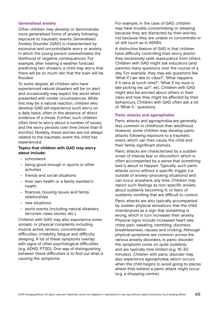### **Generalised anxiety**

Other children may develop or demonstrate more generalised forms of anxiety following exposure to traumatic events. Generalised Anxiety Disorder (GAD) is characterised by excessive and uncontrollable worry or anxiety in which the young person overestimates the likelihood of negative consequences. For example, after hearing a weather forecast predicting rain showers, a child may worry that there will be so much rain that the town will be flooded.

To some degree, all children who have experienced natural disasters will be on alert and occasionally may expect the worst when presented with similar circumstances. While this may be a natural reaction, children who develop GAD will experience such worry on a daily basis, often in the absence of direct evidence of a threat. Further, such children often tend to worry about a number of issues, and the worry persists over time (more than 6 months). Notably, these worries are not always related to the traumatic event the child has experienced.

### **Topics that children with GAD may worry about include:**

- schoolwork
- being good enough in sports or other activities
- friends and social situations
- their own health or a family member's health
- finances, housing issues and family relationships
- new situations
- world events (including natural disasters, terrorism, news stories, etc.).

Children with GAD may also experience some somatic or physical complaints including muscle aches, tension, concentration difficulties, irritability, fatigue and difficulty sleeping. A lot of these symptoms overlap with signs of other psychological difficulties (e.g. ADHD, PTSD). One way of distinguishing between these difficulties is to find out what is causing the symptoms.

For example, in the case of GAD, children may have trouble concentrating or sleeping because they are distracted by their worries, not because they are unable to concentrate or sit still (such as in ADHD).

A distinctive feature of GAD is that children have difficulty controlling their worry and/or they excessively seek reassurance from others. Children with GAD might ask educators (and parents) many questions over the course of a day. For example, they may ask questions like 'What if I am late to class?', 'What happens if it rains at lunch time?', 'What if my mum is late picking me up?', etc. Children with GAD might also be worried about others in their class and how they might be affected by their behaviours. Children with GAD often ask a lot of 'What if…' questions.

### **Panic attacks and agoraphobia**

Panic attacks and agoraphobia are generally less common in childhood than adulthood. However, some children may develop panic attacks following exposure to a traumatic event, which can then cause the child and their family significant distress.

Panic attacks are characterised by a sudden onset of intense fear or discomfort, which is often accompanied by a sense that something bad is about to happen. Typically, such panic attacks occur without a specific trigger (i.e. outside of anxiety-provoking situations) and can occur anywhere, any time. Children may report such feelings as non-specific anxiety about suddenly becoming ill, or fears of suddenly vomiting that are difficult to control. Panic attacks are also typically accompanied by sudden physical sensations that the child misinterprets as a sign that something is wrong, which in turn increases their anxiety. Physical signs include increased heart rate, chest pain, sweating, trembling, dizziness, breathlessness, nausea and choking. Although physical symptoms are common across the various anxiety disorders, in panic disorder the symptoms come on quite suddenly and are typically time limited (e.g. 15-30 minutes). Children with panic disorder may also experience agoraphobia, which occurs when the child begins to avoid going to places where they believe a panic attack might occur (e.g. a shopping centre).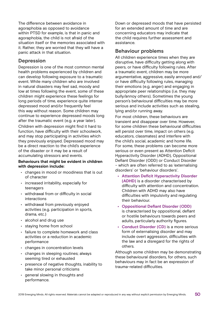The difference between avoidance in agoraphobia as opposed to avoidance within PTSD for example, is that in panic and agoraphobia, the child is not afraid of the situation itself or the memories associated with it. Rather, they are worried that they will have a panic attack in that situation.

### **Depression**

Depression is one of the most common mental health problems experienced by children and can develop following exposure to a traumatic event. While many children who are involved in natural disasters may feel sad, moody and low at times following the event, some of these children might experience these feelings for long periods of time, experience quite intense depressed mood and/or frequently feel this way without reason. Some children may continue to experience depressed moods long after the traumatic event (e.g. a year later). Children with depression might find it hard to function, have difficulty with their schoolwork, and may stop participating in activities which they previously enjoyed. Depressed mood may be a direct reaction to the child's experience of the disaster or it may be a result of accumulating stressors and events.

### **Behaviours that might be evident in children with depression include:**

- changes in mood or moodiness that is out of character
- increased irritability, especially for teenagers
- withdrawal from or difficulty in social interactions
- withdrawal from previously enjoyed activities (e.g. participation in sports, drama, etc.)
- alcohol and drug use
- staying home from school
- failure to complete homework and class activities or a reduction in academic performance
- changes in concentration levels
- changes in sleeping routines; always seeming tired or exhausted
- presence of negative thoughts, inability to take minor personal criticisms
- general slowing in thoughts and performance.

Down or depressed moods that have persisted for an extended amount of time and are concerning educators may indicate that the child requires further assessment and assistance.

## **Behaviour problems**

All children experience times when they are disruptive, have difficulty getting along with peers, or have difficulty following rules. After a traumatic event, children may be more argumentative, aggressive, easily annoyed and/ or have difficulty following rules, managing their emotions (e.g. anger) and engaging in appropriate peer relationships (i.e. they may bully/annoy others). Sometimes the young person's behavioural difficulties may be more serious and include activities such as stealing, lying and/or running away.

For most children, these behaviours are transient and disappear over time. However, for some children these behavioural difficulties will persist over time, impact on others (e.g. educators, classmates) and interfere with the child's social, academic and home life. For some, these problems can become more serious or even present as Attention Deficit Hyperactivity Disorder (ADHD), Oppositional Defiant Disorder (ODD) or Conduct Disorder – which are often referred to as 'externalising disorders' or 'behaviour disorders'.

- **• Attention Deficit Hyperactivity Disorder (ADHD)** is a disorder characterised by difficulty with attention and concentration. Children with ADHD may also have difficulties with impulsivity and regulating their behaviour.
- **• Oppositional Defiant Disorder (ODD)**  is characterised by oppositional, defiant or hostile behaviours towards peers and adults, particularly authority figures.
- **• Conduct Disorder (CD)** is a more serious form of externalising disorder and may include overt aggression, difficulties with the law and a disregard for the rights of others.

Although some children may be demonstrating these behavioural disorders, for others, such behaviours may in fact be an expression of trauma-related difficulties.